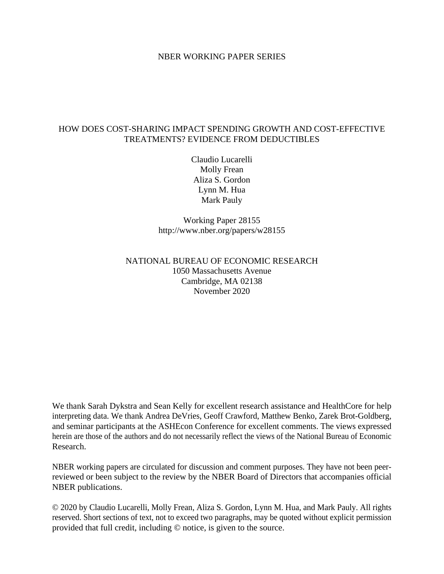#### NBER WORKING PAPER SERIES

### HOW DOES COST-SHARING IMPACT SPENDING GROWTH AND COST-EFFECTIVE TREATMENTS? EVIDENCE FROM DEDUCTIBLES

Claudio Lucarelli Molly Frean Aliza S. Gordon Lynn M. Hua Mark Pauly

Working Paper 28155 http://www.nber.org/papers/w28155

## NATIONAL BUREAU OF ECONOMIC RESEARCH 1050 Massachusetts Avenue Cambridge, MA 02138 November 2020

We thank Sarah Dykstra and Sean Kelly for excellent research assistance and HealthCore for help interpreting data. We thank Andrea DeVries, Geoff Crawford, Matthew Benko, Zarek Brot-Goldberg, and seminar participants at the ASHEcon Conference for excellent comments. The views expressed herein are those of the authors and do not necessarily reflect the views of the National Bureau of Economic Research.

NBER working papers are circulated for discussion and comment purposes. They have not been peerreviewed or been subject to the review by the NBER Board of Directors that accompanies official NBER publications.

© 2020 by Claudio Lucarelli, Molly Frean, Aliza S. Gordon, Lynn M. Hua, and Mark Pauly. All rights reserved. Short sections of text, not to exceed two paragraphs, may be quoted without explicit permission provided that full credit, including © notice, is given to the source.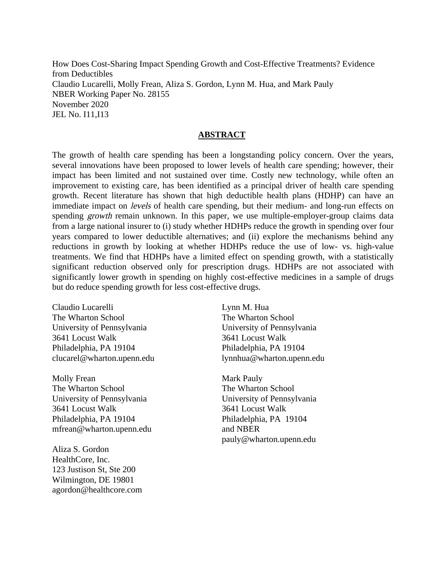How Does Cost-Sharing Impact Spending Growth and Cost-Effective Treatments? Evidence from Deductibles Claudio Lucarelli, Molly Frean, Aliza S. Gordon, Lynn M. Hua, and Mark Pauly NBER Working Paper No. 28155 November 2020 JEL No. I11,I13

#### **ABSTRACT**

The growth of health care spending has been a longstanding policy concern. Over the years, several innovations have been proposed to lower levels of health care spending; however, their impact has been limited and not sustained over time. Costly new technology, while often an improvement to existing care, has been identified as a principal driver of health care spending growth. Recent literature has shown that high deductible health plans (HDHP) can have an immediate impact on *levels* of health care spending, but their medium- and long-run effects on spending *growth* remain unknown. In this paper, we use multiple-employer-group claims data from a large national insurer to (i) study whether HDHPs reduce the growth in spending over four years compared to lower deductible alternatives; and (ii) explore the mechanisms behind any reductions in growth by looking at whether HDHPs reduce the use of low- vs. high-value treatments. We find that HDHPs have a limited effect on spending growth, with a statistically significant reduction observed only for prescription drugs. HDHPs are not associated with significantly lower growth in spending on highly cost-effective medicines in a sample of drugs but do reduce spending growth for less cost-effective drugs.

Claudio Lucarelli The Wharton School University of Pennsylvania 3641 Locust Walk Philadelphia, PA 19104 clucarel@wharton.upenn.edu

Molly Frean The Wharton School University of Pennsylvania 3641 Locust Walk Philadelphia, PA 19104 mfrean@wharton.upenn.edu

Aliza S. Gordon HealthCore, Inc. 123 Justison St, Ste 200 Wilmington, DE 19801 agordon@healthcore.com

Lynn M. Hua The Wharton School University of Pennsylvania 3641 Locust Walk Philadelphia, PA 19104 lynnhua@wharton.upenn.edu

Mark Pauly The Wharton School University of Pennsylvania 3641 Locust Walk Philadelphia, PA 19104 and NBER pauly@wharton.upenn.edu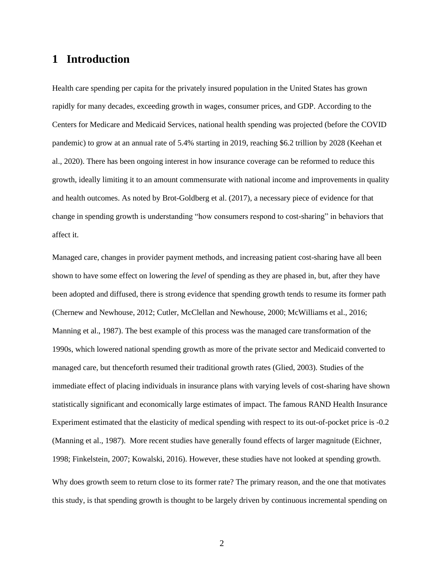# **1 Introduction**

Health care spending per capita for the privately insured population in the United States has grown rapidly for many decades, exceeding growth in wages, consumer prices, and GDP. According to the Centers for Medicare and Medicaid Services, national health spending was projected (before the COVID pandemic) to grow at an annual rate of 5.4% starting in 2019, reaching \$6.2 trillion by 2028 (Keehan et al., 2020). There has been ongoing interest in how insurance coverage can be reformed to reduce this growth, ideally limiting it to an amount commensurate with national income and improvements in quality and health outcomes. As noted by Brot-Goldberg et al. (2017), a necessary piece of evidence for that change in spending growth is understanding "how consumers respond to cost-sharing" in behaviors that affect it.

Managed care, changes in provider payment methods, and increasing patient cost-sharing have all been shown to have some effect on lowering the *level* of spending as they are phased in, but, after they have been adopted and diffused, there is strong evidence that spending growth tends to resume its former path (Chernew and Newhouse, 2012; Cutler, McClellan and Newhouse, 2000; McWilliams et al., 2016; Manning et al., 1987). The best example of this process was the managed care transformation of the 1990s, which lowered national spending growth as more of the private sector and Medicaid converted to managed care, but thenceforth resumed their traditional growth rates (Glied, 2003). Studies of the immediate effect of placing individuals in insurance plans with varying levels of cost-sharing have shown statistically significant and economically large estimates of impact. The famous RAND Health Insurance Experiment estimated that the elasticity of medical spending with respect to its out-of-pocket price is -0.2 (Manning et al., 1987). More recent studies have generally found effects of larger magnitude (Eichner, 1998; Finkelstein, 2007; Kowalski, 2016). However, these studies have not looked at spending growth. Why does growth seem to return close to its former rate? The primary reason, and the one that motivates this study, is that spending growth is thought to be largely driven by continuous incremental spending on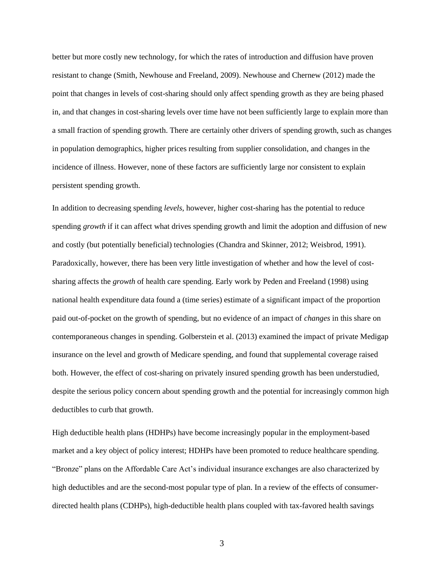better but more costly new technology, for which the rates of introduction and diffusion have proven resistant to change (Smith, Newhouse and Freeland, 2009). Newhouse and Chernew (2012) made the point that changes in levels of cost-sharing should only affect spending growth as they are being phased in, and that changes in cost-sharing levels over time have not been sufficiently large to explain more than a small fraction of spending growth. There are certainly other drivers of spending growth, such as changes in population demographics, higher prices resulting from supplier consolidation, and changes in the incidence of illness. However, none of these factors are sufficiently large nor consistent to explain persistent spending growth.

In addition to decreasing spending *levels*, however, higher cost-sharing has the potential to reduce spending *growth* if it can affect what drives spending growth and limit the adoption and diffusion of new and costly (but potentially beneficial) technologies (Chandra and Skinner, 2012; Weisbrod, 1991). Paradoxically, however, there has been very little investigation of whether and how the level of costsharing affects the *growth* of health care spending. Early work by Peden and Freeland (1998) using national health expenditure data found a (time series) estimate of a significant impact of the proportion paid out-of-pocket on the growth of spending, but no evidence of an impact of *changes* in this share on contemporaneous changes in spending. Golberstein et al. (2013) examined the impact of private Medigap insurance on the level and growth of Medicare spending, and found that supplemental coverage raised both. However, the effect of cost-sharing on privately insured spending growth has been understudied, despite the serious policy concern about spending growth and the potential for increasingly common high deductibles to curb that growth.

High deductible health plans (HDHPs) have become increasingly popular in the employment-based market and a key object of policy interest; HDHPs have been promoted to reduce healthcare spending. "Bronze" plans on the Affordable Care Act's individual insurance exchanges are also characterized by high deductibles and are the second-most popular type of plan. In a review of the effects of consumerdirected health plans (CDHPs), high-deductible health plans coupled with tax-favored health savings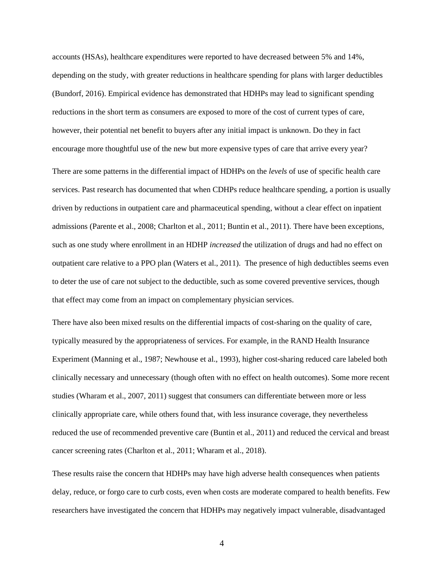accounts (HSAs), healthcare expenditures were reported to have decreased between 5% and 14%, depending on the study, with greater reductions in healthcare spending for plans with larger deductibles (Bundorf, 2016). Empirical evidence has demonstrated that HDHPs may lead to significant spending reductions in the short term as consumers are exposed to more of the cost of current types of care, however, their potential net benefit to buyers after any initial impact is unknown. Do they in fact encourage more thoughtful use of the new but more expensive types of care that arrive every year?

There are some patterns in the differential impact of HDHPs on the *levels* of use of specific health care services. Past research has documented that when CDHPs reduce healthcare spending, a portion is usually driven by reductions in outpatient care and pharmaceutical spending, without a clear effect on inpatient admissions (Parente et al., 2008; Charlton et al., 2011; Buntin et al., 2011). There have been exceptions, such as one study where enrollment in an HDHP *increased* the utilization of drugs and had no effect on outpatient care relative to a PPO plan (Waters et al., 2011). The presence of high deductibles seems even to deter the use of care not subject to the deductible, such as some covered preventive services, though that effect may come from an impact on complementary physician services.

There have also been mixed results on the differential impacts of cost-sharing on the quality of care, typically measured by the appropriateness of services. For example, in the RAND Health Insurance Experiment (Manning et al., 1987; Newhouse et al., 1993), higher cost-sharing reduced care labeled both clinically necessary and unnecessary (though often with no effect on health outcomes). Some more recent studies (Wharam et al., 2007, 2011) suggest that consumers can differentiate between more or less clinically appropriate care, while others found that, with less insurance coverage, they nevertheless reduced the use of recommended preventive care (Buntin et al., 2011) and reduced the cervical and breast cancer screening rates (Charlton et al., 2011; Wharam et al., 2018).

These results raise the concern that HDHPs may have high adverse health consequences when patients delay, reduce, or forgo care to curb costs, even when costs are moderate compared to health benefits. Few researchers have investigated the concern that HDHPs may negatively impact vulnerable, disadvantaged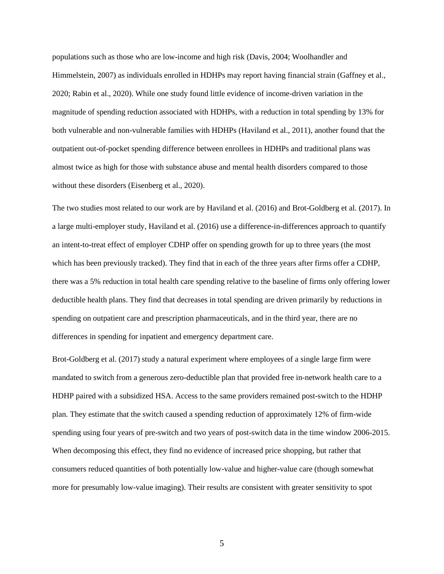populations such as those who are low-income and high risk (Davis, 2004; Woolhandler and Himmelstein, 2007) as individuals enrolled in HDHPs may report having financial strain (Gaffney et al., 2020; Rabin et al., 2020). While one study found little evidence of income-driven variation in the magnitude of spending reduction associated with HDHPs, with a reduction in total spending by 13% for both vulnerable and non-vulnerable families with HDHPs (Haviland et al., 2011), another found that the outpatient out-of-pocket spending difference between enrollees in HDHPs and traditional plans was almost twice as high for those with substance abuse and mental health disorders compared to those without these disorders (Eisenberg et al., 2020).

The two studies most related to our work are by Haviland et al. (2016) and Brot-Goldberg et al. (2017). In a large multi-employer study, Haviland et al. (2016) use a difference-in-differences approach to quantify an intent-to-treat effect of employer CDHP offer on spending growth for up to three years (the most which has been previously tracked). They find that in each of the three years after firms offer a CDHP, there was a 5% reduction in total health care spending relative to the baseline of firms only offering lower deductible health plans. They find that decreases in total spending are driven primarily by reductions in spending on outpatient care and prescription pharmaceuticals, and in the third year, there are no differences in spending for inpatient and emergency department care.

Brot-Goldberg et al. (2017) study a natural experiment where employees of a single large firm were mandated to switch from a generous zero-deductible plan that provided free in-network health care to a HDHP paired with a subsidized HSA. Access to the same providers remained post-switch to the HDHP plan. They estimate that the switch caused a spending reduction of approximately 12% of firm-wide spending using four years of pre-switch and two years of post-switch data in the time window 2006-2015. When decomposing this effect, they find no evidence of increased price shopping, but rather that consumers reduced quantities of both potentially low-value and higher-value care (though somewhat more for presumably low-value imaging). Their results are consistent with greater sensitivity to spot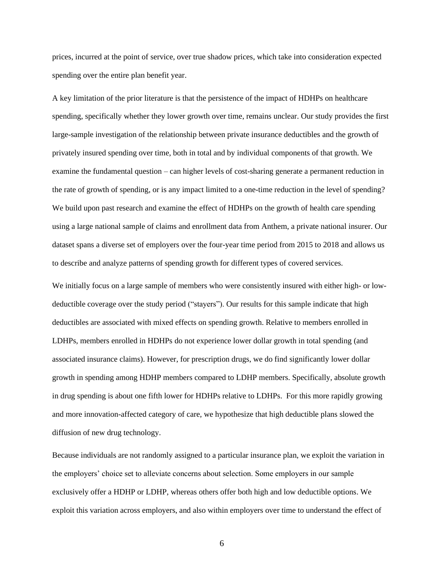prices, incurred at the point of service, over true shadow prices, which take into consideration expected spending over the entire plan benefit year.

A key limitation of the prior literature is that the persistence of the impact of HDHPs on healthcare spending, specifically whether they lower growth over time, remains unclear. Our study provides the first large-sample investigation of the relationship between private insurance deductibles and the growth of privately insured spending over time, both in total and by individual components of that growth. We examine the fundamental question – can higher levels of cost-sharing generate a permanent reduction in the rate of growth of spending, or is any impact limited to a one-time reduction in the level of spending? We build upon past research and examine the effect of HDHPs on the growth of health care spending using a large national sample of claims and enrollment data from Anthem, a private national insurer. Our dataset spans a diverse set of employers over the four-year time period from 2015 to 2018 and allows us to describe and analyze patterns of spending growth for different types of covered services.

We initially focus on a large sample of members who were consistently insured with either high- or lowdeductible coverage over the study period ("stayers"). Our results for this sample indicate that high deductibles are associated with mixed effects on spending growth. Relative to members enrolled in LDHPs, members enrolled in HDHPs do not experience lower dollar growth in total spending (and associated insurance claims). However, for prescription drugs, we do find significantly lower dollar growth in spending among HDHP members compared to LDHP members. Specifically, absolute growth in drug spending is about one fifth lower for HDHPs relative to LDHPs. For this more rapidly growing and more innovation-affected category of care, we hypothesize that high deductible plans slowed the diffusion of new drug technology.

Because individuals are not randomly assigned to a particular insurance plan, we exploit the variation in the employers' choice set to alleviate concerns about selection. Some employers in our sample exclusively offer a HDHP or LDHP, whereas others offer both high and low deductible options. We exploit this variation across employers, and also within employers over time to understand the effect of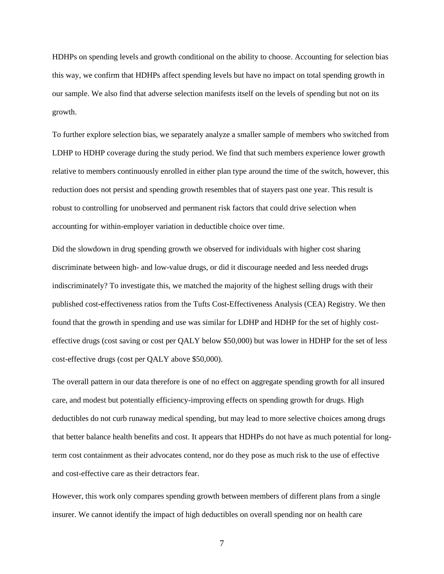HDHPs on spending levels and growth conditional on the ability to choose. Accounting for selection bias this way, we confirm that HDHPs affect spending levels but have no impact on total spending growth in our sample. We also find that adverse selection manifests itself on the levels of spending but not on its growth.

To further explore selection bias, we separately analyze a smaller sample of members who switched from LDHP to HDHP coverage during the study period. We find that such members experience lower growth relative to members continuously enrolled in either plan type around the time of the switch, however, this reduction does not persist and spending growth resembles that of stayers past one year. This result is robust to controlling for unobserved and permanent risk factors that could drive selection when accounting for within-employer variation in deductible choice over time.

Did the slowdown in drug spending growth we observed for individuals with higher cost sharing discriminate between high- and low-value drugs, or did it discourage needed and less needed drugs indiscriminately? To investigate this, we matched the majority of the highest selling drugs with their published cost-effectiveness ratios from the Tufts Cost-Effectiveness Analysis (CEA) Registry. We then found that the growth in spending and use was similar for LDHP and HDHP for the set of highly costeffective drugs (cost saving or cost per QALY below \$50,000) but was lower in HDHP for the set of less cost-effective drugs (cost per QALY above \$50,000).

The overall pattern in our data therefore is one of no effect on aggregate spending growth for all insured care, and modest but potentially efficiency-improving effects on spending growth for drugs. High deductibles do not curb runaway medical spending, but may lead to more selective choices among drugs that better balance health benefits and cost. It appears that HDHPs do not have as much potential for longterm cost containment as their advocates contend, nor do they pose as much risk to the use of effective and cost-effective care as their detractors fear.

However, this work only compares spending growth between members of different plans from a single insurer. We cannot identify the impact of high deductibles on overall spending nor on health care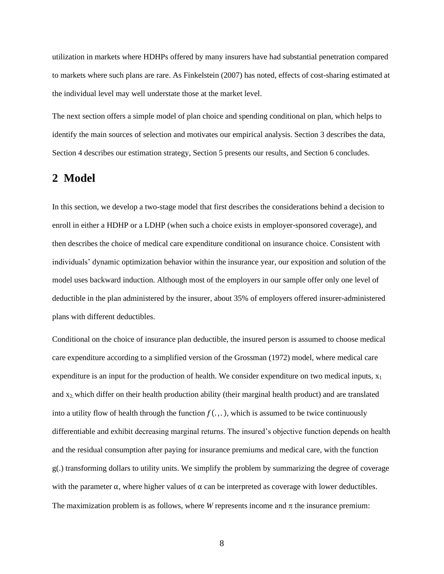utilization in markets where HDHPs offered by many insurers have had substantial penetration compared to markets where such plans are rare. As Finkelstein (2007) has noted, effects of cost-sharing estimated at the individual level may well understate those at the market level.

The next section offers a simple model of plan choice and spending conditional on plan, which helps to identify the main sources of selection and motivates our empirical analysis. Section 3 describes the data, Section 4 describes our estimation strategy, Section 5 presents our results, and Section 6 concludes.

## **2 Model**

In this section, we develop a two-stage model that first describes the considerations behind a decision to enroll in either a HDHP or a LDHP (when such a choice exists in employer-sponsored coverage), and then describes the choice of medical care expenditure conditional on insurance choice. Consistent with individuals' dynamic optimization behavior within the insurance year, our exposition and solution of the model uses backward induction. Although most of the employers in our sample offer only one level of deductible in the plan administered by the insurer, about 35% of employers offered insurer-administered plans with different deductibles.

Conditional on the choice of insurance plan deductible, the insured person is assumed to choose medical care expenditure according to a simplified version of the Grossman (1972) model, where medical care expenditure is an input for the production of health. We consider expenditure on two medical inputs,  $x_1$ and x2, which differ on their health production ability (their marginal health product) and are translated into a utility flow of health through the function  $f(.)$ , which is assumed to be twice continuously differentiable and exhibit decreasing marginal returns. The insured's objective function depends on health and the residual consumption after paying for insurance premiums and medical care, with the function g(.) transforming dollars to utility units. We simplify the problem by summarizing the degree of coverage with the parameter  $\alpha$ , where higher values of  $\alpha$  can be interpreted as coverage with lower deductibles. The maximization problem is as follows, where *W* represents income and  $\pi$  the insurance premium: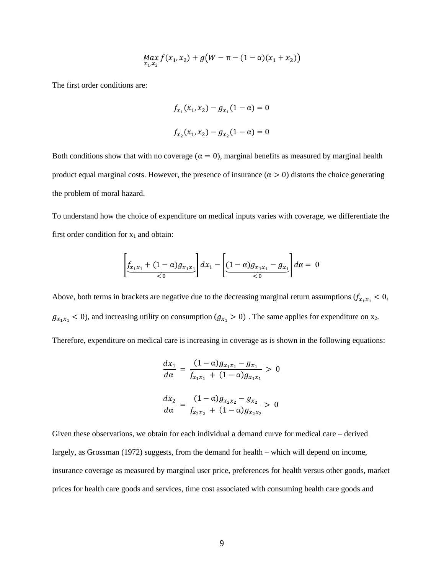$$
\max_{x_1, x_2} f(x_1, x_2) + g(W - \pi - (1 - \alpha)(x_1 + x_2))
$$

The first order conditions are:

$$
f_{x_1}(x_1, x_2) - g_{x_1}(1 - \alpha) = 0
$$
  

$$
f_{x_2}(x_1, x_2) - g_{x_2}(1 - \alpha) = 0
$$

Both conditions show that with no coverage ( $\alpha = 0$ ), marginal benefits as measured by marginal health product equal marginal costs. However, the presence of insurance ( $\alpha > 0$ ) distorts the choice generating the problem of moral hazard.

To understand how the choice of expenditure on medical inputs varies with coverage, we differentiate the first order condition for  $x_1$  and obtain:

$$
\left[\underbrace{f_{x_1x_1} + (1-\alpha)g_{x_1x_1}}_{< 0}\right]dx_1 - \left[\underbrace{(1-\alpha)g_{x_1x_1} - g_{x_1}}_{< 0}\right]d\alpha = 0
$$

Above, both terms in brackets are negative due to the decreasing marginal return assumptions  $(f_{x_1x_1} < 0,$  $g_{x_1x_1} < 0$ , and increasing utility on consumption  $(g_{x_1} > 0)$ . The same applies for expenditure on x<sub>2</sub>.

Therefore, expenditure on medical care is increasing in coverage as is shown in the following equations:

$$
\frac{dx_1}{d\alpha} = \frac{(1-\alpha)g_{x_1x_1} - g_{x_1}}{f_{x_1x_1} + (1-\alpha)g_{x_1x_1}} > 0
$$

$$
\frac{dx_2}{d\alpha} = \frac{(1-\alpha)g_{x_2x_2} - g_{x_2}}{f_{x_2x_2} + (1-\alpha)g_{x_2x_2}} > 0
$$

Given these observations, we obtain for each individual a demand curve for medical care – derived largely, as Grossman (1972) suggests, from the demand for health – which will depend on income, insurance coverage as measured by marginal user price, preferences for health versus other goods, market prices for health care goods and services, time cost associated with consuming health care goods and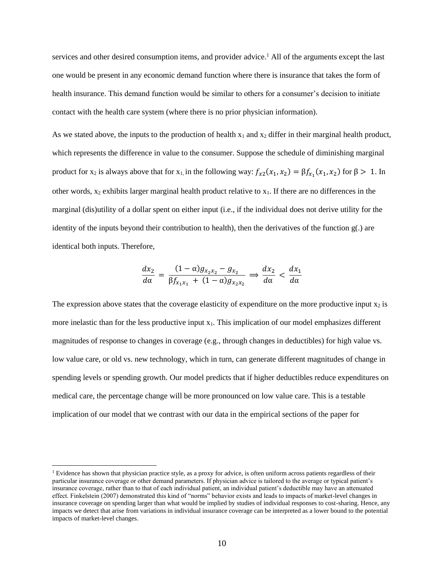services and other desired consumption items, and provider advice.<sup>1</sup> All of the arguments except the last one would be present in any economic demand function where there is insurance that takes the form of health insurance. This demand function would be similar to others for a consumer's decision to initiate contact with the health care system (where there is no prior physician information).

As we stated above, the inputs to the production of health  $x_1$  and  $x_2$  differ in their marginal health product, which represents the difference in value to the consumer. Suppose the schedule of diminishing marginal product for  $x_2$  is always above that for  $x_1$ , in the following way:  $f_{x2}(x_1, x_2) = \beta f_{x_1}(x_1, x_2)$  for  $\beta > 1$ . In other words,  $x_2$  exhibits larger marginal health product relative to  $x_1$ . If there are no differences in the marginal (dis)utility of a dollar spent on either input (i.e., if the individual does not derive utility for the identity of the inputs beyond their contribution to health), then the derivatives of the function  $g(.)$  are identical both inputs. Therefore,

$$
\frac{dx_2}{d\alpha} = \frac{(1-\alpha)g_{x_2x_2} - g_{x_2}}{\beta f_{x_1x_1} + (1-\alpha)g_{x_2x_2}} \Longrightarrow \frac{dx_2}{d\alpha} < \frac{dx_1}{d\alpha}
$$

The expression above states that the coverage elasticity of expenditure on the more productive input  $x_2$  is more inelastic than for the less productive input  $x_1$ . This implication of our model emphasizes different magnitudes of response to changes in coverage (e.g., through changes in deductibles) for high value vs. low value care, or old vs. new technology, which in turn, can generate different magnitudes of change in spending levels or spending growth. Our model predicts that if higher deductibles reduce expenditures on medical care, the percentage change will be more pronounced on low value care. This is a testable implication of our model that we contrast with our data in the empirical sections of the paper for

<sup>&</sup>lt;sup>1</sup> Evidence has shown that physician practice style, as a proxy for advice, is often uniform across patients regardless of their particular insurance coverage or other demand parameters. If physician advice is tailored to the average or typical patient's insurance coverage, rather than to that of each individual patient, an individual patient's deductible may have an attenuated effect. Finkelstein (2007) demonstrated this kind of "norms" behavior exists and leads to impacts of market-level changes in insurance coverage on spending larger than what would be implied by studies of individual responses to cost-sharing. Hence, any impacts we detect that arise from variations in individual insurance coverage can be interpreted as a lower bound to the potential impacts of market-level changes.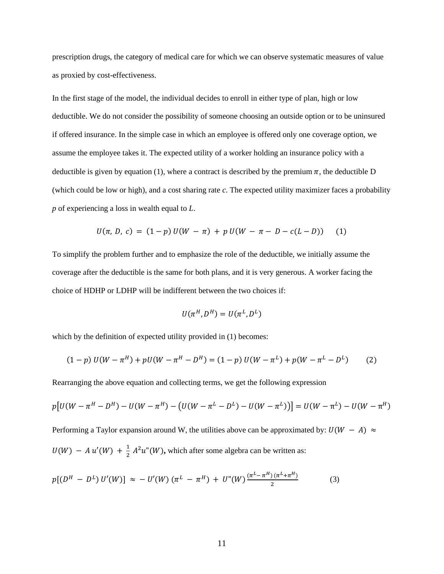prescription drugs, the category of medical care for which we can observe systematic measures of value as proxied by cost-effectiveness.

In the first stage of the model, the individual decides to enroll in either type of plan, high or low deductible. We do not consider the possibility of someone choosing an outside option or to be uninsured if offered insurance. In the simple case in which an employee is offered only one coverage option, we assume the employee takes it. The expected utility of a worker holding an insurance policy with a deductible is given by equation (1), where a contract is described by the premium  $\pi$ , the deductible D (which could be low or high), and a cost sharing rate *c*. The expected utility maximizer faces a probability *p* of experiencing a loss in wealth equal to *L*.

$$
U(\pi, D, c) = (1-p) U(W - \pi) + p U(W - \pi - D - c(L - D)) \tag{1}
$$

To simplify the problem further and to emphasize the role of the deductible, we initially assume the coverage after the deductible is the same for both plans, and it is very generous. A worker facing the choice of HDHP or LDHP will be indifferent between the two choices if:

$$
U(\pi^H, D^H) = U(\pi^L, D^L)
$$

which by the definition of expected utility provided in  $(1)$  becomes:

$$
(1-p) U(W - \pi^H) + pU(W - \pi^H - D^H) = (1-p) U(W - \pi^L) + p(W - \pi^L - D^L)
$$
 (2)

Rearranging the above equation and collecting terms, we get the following expression

$$
p[U(W - \pi^H - D^H) - U(W - \pi^H) - (U(W - \pi^L - D^L) - U(W - \pi^L))] = U(W - \pi^L) - U(W - \pi^H)
$$

Performing a Taylor expansion around W, the utilities above can be approximated by:  $U(W - A) \approx$  $U(W) - Au'(W) + \frac{1}{2}$  $\frac{1}{2}$   $A^2u''(W)$ , which after some algebra can be written as:

$$
p[(DH - DL) U'(W)] \approx -U'(W) (\piL - \piH) + U''(W) \frac{(\piL - \piH) (\piL + \piH)}{2}
$$
 (3)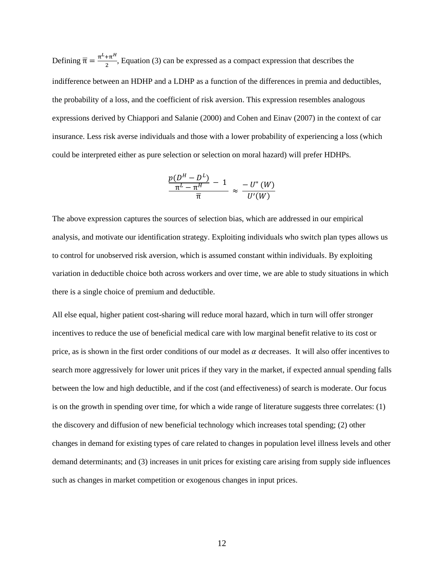Defining  $\bar{\pi} = \frac{\pi^L + \pi^H}{2}$  $\frac{2\pi}{2}$ , Equation (3) can be expressed as a compact expression that describes the indifference between an HDHP and a LDHP as a function of the differences in premia and deductibles, the probability of a loss, and the coefficient of risk aversion. This expression resembles analogous expressions derived by Chiappori and Salanie (2000) and Cohen and Einav (2007) in the context of car insurance. Less risk averse individuals and those with a lower probability of experiencing a loss (which could be interpreted either as pure selection or selection on moral hazard) will prefer HDHPs.

$$
\frac{p(D^H - D^L)}{\pi^L - \pi^H} - 1 \approx -U^{\prime\prime}(W) \over \overline{\pi}
$$

The above expression captures the sources of selection bias, which are addressed in our empirical analysis, and motivate our identification strategy. Exploiting individuals who switch plan types allows us to control for unobserved risk aversion, which is assumed constant within individuals. By exploiting variation in deductible choice both across workers and over time, we are able to study situations in which there is a single choice of premium and deductible.

All else equal, higher patient cost-sharing will reduce moral hazard, which in turn will offer stronger incentives to reduce the use of beneficial medical care with low marginal benefit relative to its cost or price, as is shown in the first order conditions of our model as  $\alpha$  decreases. It will also offer incentives to search more aggressively for lower unit prices if they vary in the market, if expected annual spending falls between the low and high deductible, and if the cost (and effectiveness) of search is moderate. Our focus is on the growth in spending over time, for which a wide range of literature suggests three correlates: (1) the discovery and diffusion of new beneficial technology which increases total spending; (2) other changes in demand for existing types of care related to changes in population level illness levels and other demand determinants; and (3) increases in unit prices for existing care arising from supply side influences such as changes in market competition or exogenous changes in input prices.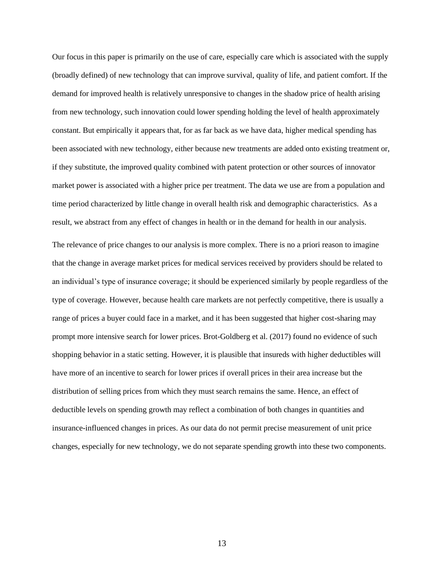Our focus in this paper is primarily on the use of care, especially care which is associated with the supply (broadly defined) of new technology that can improve survival, quality of life, and patient comfort. If the demand for improved health is relatively unresponsive to changes in the shadow price of health arising from new technology, such innovation could lower spending holding the level of health approximately constant. But empirically it appears that, for as far back as we have data, higher medical spending has been associated with new technology, either because new treatments are added onto existing treatment or, if they substitute, the improved quality combined with patent protection or other sources of innovator market power is associated with a higher price per treatment. The data we use are from a population and time period characterized by little change in overall health risk and demographic characteristics. As a result, we abstract from any effect of changes in health or in the demand for health in our analysis.

The relevance of price changes to our analysis is more complex. There is no a priori reason to imagine that the change in average market prices for medical services received by providers should be related to an individual's type of insurance coverage; it should be experienced similarly by people regardless of the type of coverage. However, because health care markets are not perfectly competitive, there is usually a range of prices a buyer could face in a market, and it has been suggested that higher cost-sharing may prompt more intensive search for lower prices. Brot-Goldberg et al. (2017) found no evidence of such shopping behavior in a static setting. However, it is plausible that insureds with higher deductibles will have more of an incentive to search for lower prices if overall prices in their area increase but the distribution of selling prices from which they must search remains the same. Hence, an effect of deductible levels on spending growth may reflect a combination of both changes in quantities and insurance-influenced changes in prices. As our data do not permit precise measurement of unit price changes, especially for new technology, we do not separate spending growth into these two components.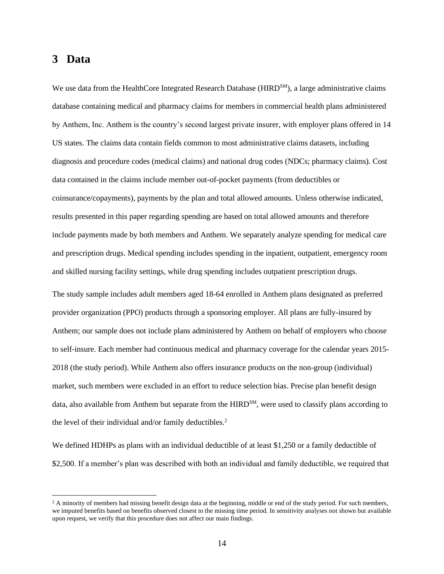# **3 Data**

We use data from the HealthCore Integrated Research Database (HIRD<sup>SM</sup>), a large administrative claims database containing medical and pharmacy claims for members in commercial health plans administered by Anthem, Inc. Anthem is the country's second largest private insurer, with employer plans offered in 14 US states. The claims data contain fields common to most administrative claims datasets, including diagnosis and procedure codes (medical claims) and national drug codes (NDCs; pharmacy claims). Cost data contained in the claims include member out-of-pocket payments (from deductibles or coinsurance/copayments), payments by the plan and total allowed amounts. Unless otherwise indicated, results presented in this paper regarding spending are based on total allowed amounts and therefore include payments made by both members and Anthem. We separately analyze spending for medical care and prescription drugs. Medical spending includes spending in the inpatient, outpatient, emergency room and skilled nursing facility settings, while drug spending includes outpatient prescription drugs.

The study sample includes adult members aged 18-64 enrolled in Anthem plans designated as preferred provider organization (PPO) products through a sponsoring employer. All plans are fully-insured by Anthem; our sample does not include plans administered by Anthem on behalf of employers who choose to self-insure. Each member had continuous medical and pharmacy coverage for the calendar years 2015- 2018 (the study period). While Anthem also offers insurance products on the non-group (individual) market, such members were excluded in an effort to reduce selection bias. Precise plan benefit design data, also available from Anthem but separate from the HIRD<sup>SM</sup>, were used to classify plans according to the level of their individual and/or family deductibles.<sup>2</sup>

We defined HDHPs as plans with an individual deductible of at least \$1,250 or a family deductible of \$2,500. If a member's plan was described with both an individual and family deductible, we required that

 $2$  A minority of members had missing benefit design data at the beginning, middle or end of the study period. For such members, we imputed benefits based on benefits observed closest to the missing time period. In sensitivity analyses not shown but available upon request, we verify that this procedure does not affect our main findings.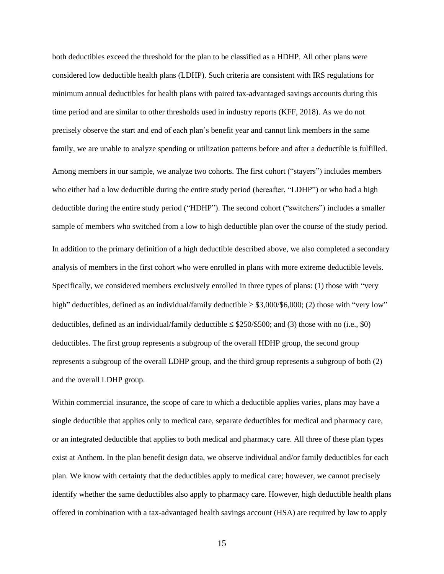both deductibles exceed the threshold for the plan to be classified as a HDHP. All other plans were considered low deductible health plans (LDHP). Such criteria are consistent with IRS regulations for minimum annual deductibles for health plans with paired tax-advantaged savings accounts during this time period and are similar to other thresholds used in industry reports (KFF, 2018). As we do not precisely observe the start and end of each plan's benefit year and cannot link members in the same family, we are unable to analyze spending or utilization patterns before and after a deductible is fulfilled. Among members in our sample, we analyze two cohorts. The first cohort ("stayers") includes members who either had a low deductible during the entire study period (hereafter, "LDHP") or who had a high deductible during the entire study period ("HDHP"). The second cohort ("switchers") includes a smaller sample of members who switched from a low to high deductible plan over the course of the study period. In addition to the primary definition of a high deductible described above, we also completed a secondary analysis of members in the first cohort who were enrolled in plans with more extreme deductible levels. Specifically, we considered members exclusively enrolled in three types of plans: (1) those with "very high" deductibles, defined as an individual/family deductible  $\geq$  \$3,000/\$6,000; (2) those with "very low" deductibles, defined as an individual/family deductible  $\leq$  \$250/\$500; and (3) those with no (i.e., \$0) deductibles. The first group represents a subgroup of the overall HDHP group, the second group represents a subgroup of the overall LDHP group, and the third group represents a subgroup of both (2) and the overall LDHP group.

Within commercial insurance, the scope of care to which a deductible applies varies, plans may have a single deductible that applies only to medical care, separate deductibles for medical and pharmacy care, or an integrated deductible that applies to both medical and pharmacy care. All three of these plan types exist at Anthem. In the plan benefit design data, we observe individual and/or family deductibles for each plan. We know with certainty that the deductibles apply to medical care; however, we cannot precisely identify whether the same deductibles also apply to pharmacy care. However, high deductible health plans offered in combination with a tax-advantaged health savings account (HSA) are required by law to apply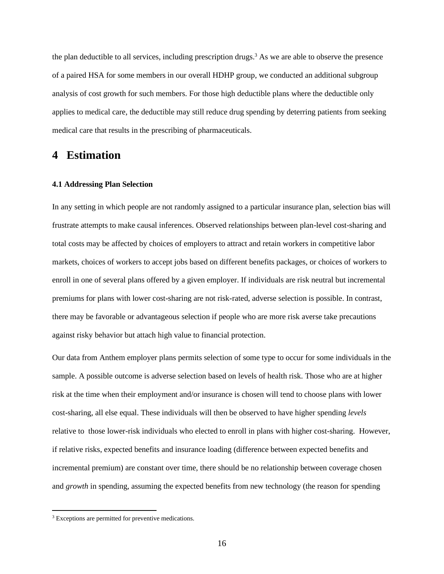the plan deductible to all services, including prescription drugs.<sup>3</sup> As we are able to observe the presence of a paired HSA for some members in our overall HDHP group, we conducted an additional subgroup analysis of cost growth for such members. For those high deductible plans where the deductible only applies to medical care, the deductible may still reduce drug spending by deterring patients from seeking medical care that results in the prescribing of pharmaceuticals.

## **4 Estimation**

#### **4.1 Addressing Plan Selection**

In any setting in which people are not randomly assigned to a particular insurance plan, selection bias will frustrate attempts to make causal inferences. Observed relationships between plan-level cost-sharing and total costs may be affected by choices of employers to attract and retain workers in competitive labor markets, choices of workers to accept jobs based on different benefits packages, or choices of workers to enroll in one of several plans offered by a given employer. If individuals are risk neutral but incremental premiums for plans with lower cost-sharing are not risk-rated, adverse selection is possible. In contrast, there may be favorable or advantageous selection if people who are more risk averse take precautions against risky behavior but attach high value to financial protection.

Our data from Anthem employer plans permits selection of some type to occur for some individuals in the sample. A possible outcome is adverse selection based on levels of health risk. Those who are at higher risk at the time when their employment and/or insurance is chosen will tend to choose plans with lower cost-sharing, all else equal. These individuals will then be observed to have higher spending *levels* relative to those lower-risk individuals who elected to enroll in plans with higher cost-sharing. However, if relative risks, expected benefits and insurance loading (difference between expected benefits and incremental premium) are constant over time, there should be no relationship between coverage chosen and *growth* in spending, assuming the expected benefits from new technology (the reason for spending

<sup>3</sup> Exceptions are permitted for preventive medications.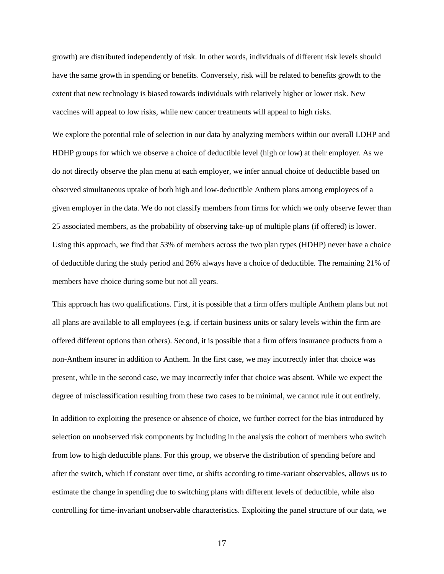growth) are distributed independently of risk. In other words, individuals of different risk levels should have the same growth in spending or benefits. Conversely, risk will be related to benefits growth to the extent that new technology is biased towards individuals with relatively higher or lower risk. New vaccines will appeal to low risks, while new cancer treatments will appeal to high risks.

We explore the potential role of selection in our data by analyzing members within our overall LDHP and HDHP groups for which we observe a choice of deductible level (high or low) at their employer. As we do not directly observe the plan menu at each employer, we infer annual choice of deductible based on observed simultaneous uptake of both high and low-deductible Anthem plans among employees of a given employer in the data. We do not classify members from firms for which we only observe fewer than 25 associated members, as the probability of observing take-up of multiple plans (if offered) is lower. Using this approach, we find that 53% of members across the two plan types (HDHP) never have a choice of deductible during the study period and 26% always have a choice of deductible. The remaining 21% of members have choice during some but not all years.

This approach has two qualifications. First, it is possible that a firm offers multiple Anthem plans but not all plans are available to all employees (e.g. if certain business units or salary levels within the firm are offered different options than others). Second, it is possible that a firm offers insurance products from a non-Anthem insurer in addition to Anthem. In the first case, we may incorrectly infer that choice was present, while in the second case, we may incorrectly infer that choice was absent. While we expect the degree of misclassification resulting from these two cases to be minimal, we cannot rule it out entirely.

In addition to exploiting the presence or absence of choice, we further correct for the bias introduced by selection on unobserved risk components by including in the analysis the cohort of members who switch from low to high deductible plans. For this group, we observe the distribution of spending before and after the switch, which if constant over time, or shifts according to time-variant observables, allows us to estimate the change in spending due to switching plans with different levels of deductible, while also controlling for time-invariant unobservable characteristics. Exploiting the panel structure of our data, we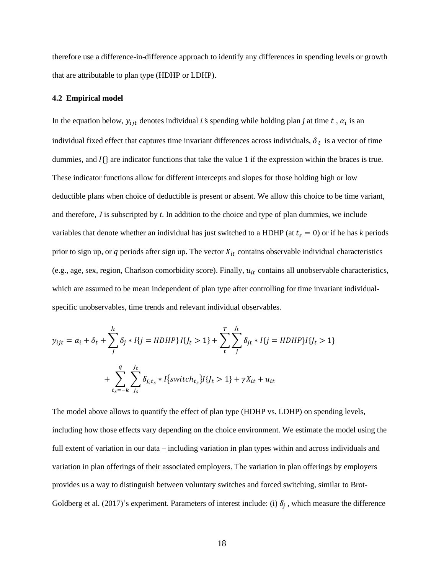therefore use a difference-in-difference approach to identify any differences in spending levels or growth that are attributable to plan type (HDHP or LDHP).

#### **4.2 Empirical model**

In the equation below,  $y_{ijt}$  denotes individual *i* 's spending while holding plan *j* at time *t*,  $\alpha_i$  is an individual fixed effect that captures time invariant differences across individuals,  $\delta_t$  is a vector of time dummies, and  $I\{\}$  are indicator functions that take the value 1 if the expression within the braces is true. These indicator functions allow for different intercepts and slopes for those holding high or low deductible plans when choice of deductible is present or absent. We allow this choice to be time variant, and therefore, *J* is subscripted by *t*. In addition to the choice and type of plan dummies, we include variables that denote whether an individual has just switched to a HDHP (at  $t_s = 0$ ) or if he has *k* periods prior to sign up, or  $q$  periods after sign up. The vector  $X_{it}$  contains observable individual characteristics (e.g., age, sex, region, Charlson comorbidity score). Finally,  $u_{it}$  contains all unobservable characteristics, which are assumed to be mean independent of plan type after controlling for time invariant individualspecific unobservables, time trends and relevant individual observables.

$$
y_{ijt} = \alpha_i + \delta_t + \sum_{j}^{J_t} \delta_j * I\{j = HDHP\} I\{J_t > 1\} + \sum_{t}^{T} \sum_{j}^{J_t} \delta_{jt} * I\{j = HDHP\} I\{J_t > 1\} + \sum_{t_s = -k}^{q} \sum_{j_s}^{J_t} \delta_{j_s t_s} * I\{switch_{t_s}\} I\{J_t > 1\} + \gamma X_{it} + u_{it}
$$

The model above allows to quantify the effect of plan type (HDHP vs. LDHP) on spending levels, including how those effects vary depending on the choice environment. We estimate the model using the full extent of variation in our data – including variation in plan types within and across individuals and variation in plan offerings of their associated employers. The variation in plan offerings by employers provides us a way to distinguish between voluntary switches and forced switching, similar to Brot-Goldberg et al. (2017)'s experiment. Parameters of interest include: (i)  $\delta_j$ , which measure the difference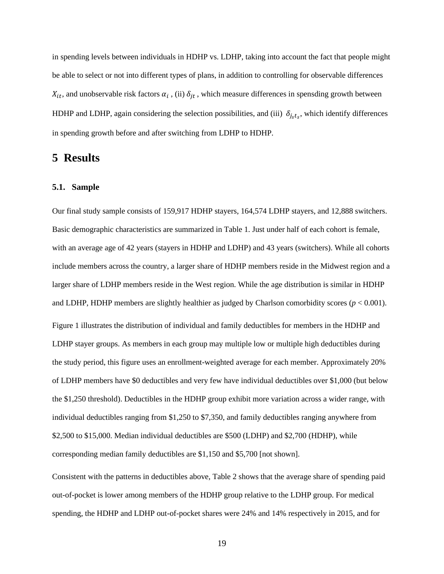in spending levels between individuals in HDHP vs. LDHP, taking into account the fact that people might be able to select or not into different types of plans, in addition to controlling for observable differences  $X_{it}$ , and unobservable risk factors  $\alpha_i$ , (ii)  $\delta_{jt}$ , which measure differences in spensding growth between HDHP and LDHP, again considering the selection possibilities, and (iii)  $\delta_{j_s t_s}$ , which identify differences in spending growth before and after switching from LDHP to HDHP.

## **5 Results**

#### **5.1. Sample**

Our final study sample consists of 159,917 HDHP stayers, 164,574 LDHP stayers, and 12,888 switchers. Basic demographic characteristics are summarized in Table 1. Just under half of each cohort is female, with an average age of 42 years (stayers in HDHP and LDHP) and 43 years (switchers). While all cohorts include members across the country, a larger share of HDHP members reside in the Midwest region and a larger share of LDHP members reside in the West region. While the age distribution is similar in HDHP and LDHP, HDHP members are slightly healthier as judged by Charlson comorbidity scores  $(p < 0.001)$ . Figure 1 illustrates the distribution of individual and family deductibles for members in the HDHP and LDHP stayer groups. As members in each group may multiple low or multiple high deductibles during the study period, this figure uses an enrollment-weighted average for each member. Approximately 20% of LDHP members have \$0 deductibles and very few have individual deductibles over \$1,000 (but below the \$1,250 threshold). Deductibles in the HDHP group exhibit more variation across a wider range, with individual deductibles ranging from \$1,250 to \$7,350, and family deductibles ranging anywhere from \$2,500 to \$15,000. Median individual deductibles are \$500 (LDHP) and \$2,700 (HDHP), while corresponding median family deductibles are \$1,150 and \$5,700 [not shown].

Consistent with the patterns in deductibles above, Table 2 shows that the average share of spending paid out-of-pocket is lower among members of the HDHP group relative to the LDHP group. For medical spending, the HDHP and LDHP out-of-pocket shares were 24% and 14% respectively in 2015, and for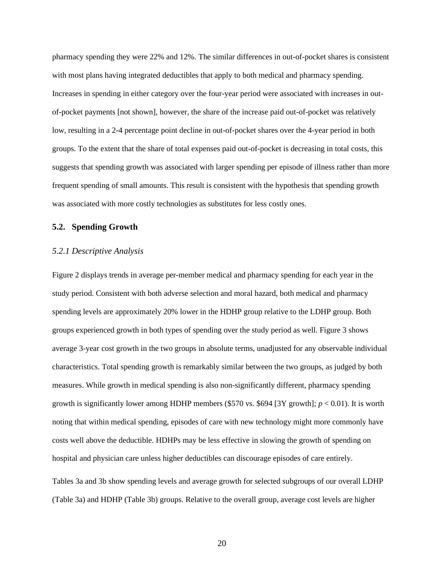pharmacy spending they were 22% and 12%. The similar differences in out-of-pocket shares is consistent with most plans having integrated deductibles that apply to both medical and pharmacy spending. Increases in spending in either category over the four-year period were associated with increases in outof-pocket payments [not shown], however, the share of the increase paid out-of-pocket was relatively low, resulting in a 2-4 percentage point decline in out-of-pocket shares over the 4-year period in both groups. To the extent that the share of total expenses paid out-of-pocket is decreasing in total costs, this suggests that spending growth was associated with larger spending per episode of illness rather than more frequent spending of small amounts. This result is consistent with the hypothesis that spending growth was associated with more costly technologies as substitutes for less costly ones.

#### **5.2. Spending Growth**

#### *5.2.1 Descriptive Analysis*

Figure 2 displays trends in average per-member medical and pharmacy spending for each year in the study period. Consistent with both adverse selection and moral hazard, both medical and pharmacy spending levels are approximately 20% lower in the HDHP group relative to the LDHP group. Both groups experienced growth in both types of spending over the study period as well. Figure 3 shows average 3-year cost growth in the two groups in absolute terms, unadjusted for any observable individual characteristics. Total spending growth is remarkably similar between the two groups, as judged by both measures. While growth in medical spending is also non-significantly different, pharmacy spending growth is significantly lower among HDHP members (\$570 vs.  $694$  [3Y growth];  $p < 0.01$ ). It is worth noting that within medical spending, episodes of care with new technology might more commonly have costs well above the deductible. HDHPs may be less effective in slowing the growth of spending on hospital and physician care unless higher deductibles can discourage episodes of care entirely.

Tables 3a and 3b show spending levels and average growth for selected subgroups of our overall LDHP (Table 3a) and HDHP (Table 3b) groups. Relative to the overall group, average cost levels are higher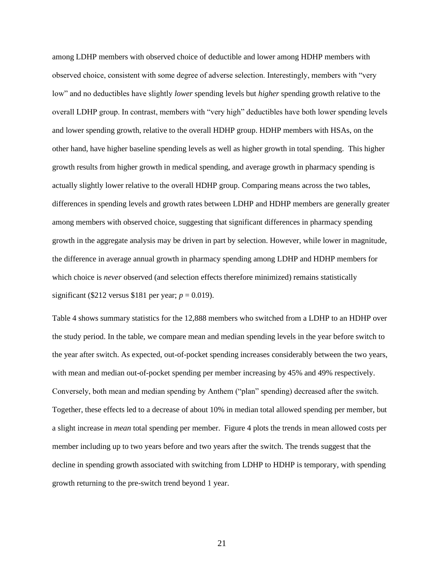among LDHP members with observed choice of deductible and lower among HDHP members with observed choice, consistent with some degree of adverse selection. Interestingly, members with "very low" and no deductibles have slightly *lower* spending levels but *higher* spending growth relative to the overall LDHP group. In contrast, members with "very high" deductibles have both lower spending levels and lower spending growth, relative to the overall HDHP group. HDHP members with HSAs, on the other hand, have higher baseline spending levels as well as higher growth in total spending. This higher growth results from higher growth in medical spending, and average growth in pharmacy spending is actually slightly lower relative to the overall HDHP group. Comparing means across the two tables, differences in spending levels and growth rates between LDHP and HDHP members are generally greater among members with observed choice, suggesting that significant differences in pharmacy spending growth in the aggregate analysis may be driven in part by selection. However, while lower in magnitude, the difference in average annual growth in pharmacy spending among LDHP and HDHP members for which choice is *never* observed (and selection effects therefore minimized) remains statistically significant (\$212 versus \$181 per year;  $p = 0.019$ ).

Table 4 shows summary statistics for the 12,888 members who switched from a LDHP to an HDHP over the study period. In the table, we compare mean and median spending levels in the year before switch to the year after switch. As expected, out-of-pocket spending increases considerably between the two years, with mean and median out-of-pocket spending per member increasing by 45% and 49% respectively. Conversely, both mean and median spending by Anthem ("plan" spending) decreased after the switch. Together, these effects led to a decrease of about 10% in median total allowed spending per member, but a slight increase in *mean* total spending per member. Figure 4 plots the trends in mean allowed costs per member including up to two years before and two years after the switch. The trends suggest that the decline in spending growth associated with switching from LDHP to HDHP is temporary, with spending growth returning to the pre-switch trend beyond 1 year.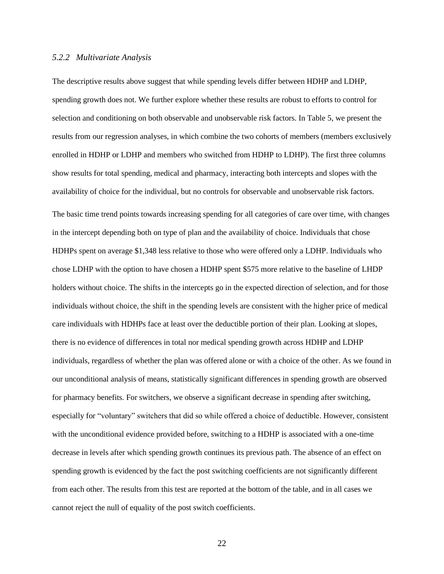#### *5.2.2 Multivariate Analysis*

The descriptive results above suggest that while spending levels differ between HDHP and LDHP, spending growth does not. We further explore whether these results are robust to efforts to control for selection and conditioning on both observable and unobservable risk factors. In Table 5, we present the results from our regression analyses, in which combine the two cohorts of members (members exclusively enrolled in HDHP or LDHP and members who switched from HDHP to LDHP). The first three columns show results for total spending, medical and pharmacy, interacting both intercepts and slopes with the availability of choice for the individual, but no controls for observable and unobservable risk factors. The basic time trend points towards increasing spending for all categories of care over time, with changes in the intercept depending both on type of plan and the availability of choice. Individuals that chose HDHPs spent on average \$1,348 less relative to those who were offered only a LDHP. Individuals who chose LDHP with the option to have chosen a HDHP spent \$575 more relative to the baseline of LHDP holders without choice. The shifts in the intercepts go in the expected direction of selection, and for those individuals without choice, the shift in the spending levels are consistent with the higher price of medical care individuals with HDHPs face at least over the deductible portion of their plan. Looking at slopes, there is no evidence of differences in total nor medical spending growth across HDHP and LDHP individuals, regardless of whether the plan was offered alone or with a choice of the other. As we found in our unconditional analysis of means, statistically significant differences in spending growth are observed for pharmacy benefits. For switchers, we observe a significant decrease in spending after switching, especially for "voluntary" switchers that did so while offered a choice of deductible. However, consistent with the unconditional evidence provided before, switching to a HDHP is associated with a one-time decrease in levels after which spending growth continues its previous path. The absence of an effect on spending growth is evidenced by the fact the post switching coefficients are not significantly different from each other. The results from this test are reported at the bottom of the table, and in all cases we

cannot reject the null of equality of the post switch coefficients.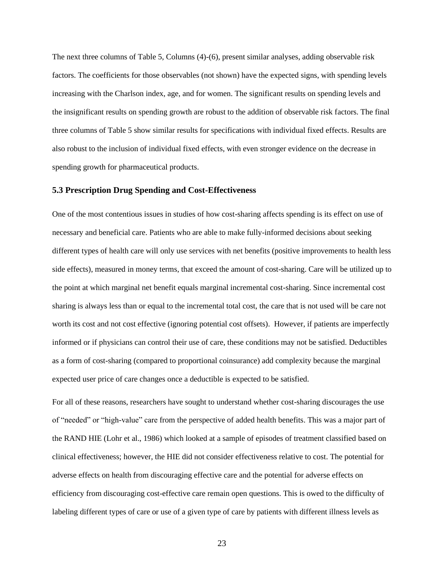The next three columns of Table 5, Columns (4)-(6), present similar analyses, adding observable risk factors. The coefficients for those observables (not shown) have the expected signs, with spending levels increasing with the Charlson index, age, and for women. The significant results on spending levels and the insignificant results on spending growth are robust to the addition of observable risk factors. The final three columns of Table 5 show similar results for specifications with individual fixed effects. Results are also robust to the inclusion of individual fixed effects, with even stronger evidence on the decrease in spending growth for pharmaceutical products.

#### **5.3 Prescription Drug Spending and Cost-Effectiveness**

One of the most contentious issues in studies of how cost-sharing affects spending is its effect on use of necessary and beneficial care. Patients who are able to make fully-informed decisions about seeking different types of health care will only use services with net benefits (positive improvements to health less side effects), measured in money terms, that exceed the amount of cost-sharing. Care will be utilized up to the point at which marginal net benefit equals marginal incremental cost-sharing. Since incremental cost sharing is always less than or equal to the incremental total cost, the care that is not used will be care not worth its cost and not cost effective (ignoring potential cost offsets). However, if patients are imperfectly informed or if physicians can control their use of care, these conditions may not be satisfied. Deductibles as a form of cost-sharing (compared to proportional coinsurance) add complexity because the marginal expected user price of care changes once a deductible is expected to be satisfied.

For all of these reasons, researchers have sought to understand whether cost-sharing discourages the use of "needed" or "high-value" care from the perspective of added health benefits. This was a major part of the RAND HIE (Lohr et al., 1986) which looked at a sample of episodes of treatment classified based on clinical effectiveness; however, the HIE did not consider effectiveness relative to cost. The potential for adverse effects on health from discouraging effective care and the potential for adverse effects on efficiency from discouraging cost-effective care remain open questions. This is owed to the difficulty of labeling different types of care or use of a given type of care by patients with different illness levels as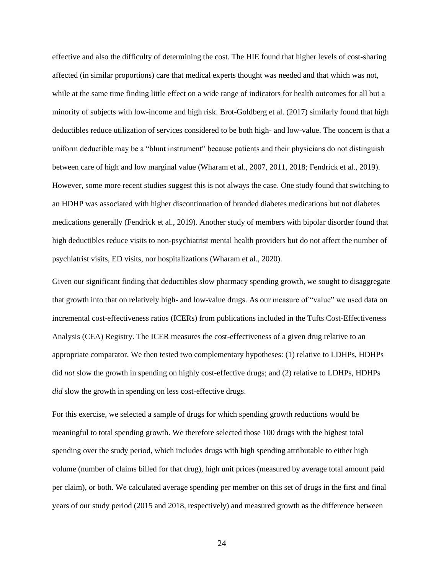effective and also the difficulty of determining the cost. The HIE found that higher levels of cost-sharing affected (in similar proportions) care that medical experts thought was needed and that which was not, while at the same time finding little effect on a wide range of indicators for health outcomes for all but a minority of subjects with low-income and high risk. Brot-Goldberg et al. (2017) similarly found that high deductibles reduce utilization of services considered to be both high- and low-value. The concern is that a uniform deductible may be a "blunt instrument" because patients and their physicians do not distinguish between care of high and low marginal value (Wharam et al., 2007, 2011, 2018; Fendrick et al., 2019). However, some more recent studies suggest this is not always the case. One study found that switching to an HDHP was associated with higher discontinuation of branded diabetes medications but not diabetes medications generally (Fendrick et al., 2019). Another study of members with bipolar disorder found that high deductibles reduce visits to non-psychiatrist mental health providers but do not affect the number of psychiatrist visits, ED visits, nor hospitalizations (Wharam et al., 2020).

Given our significant finding that deductibles slow pharmacy spending growth, we sought to disaggregate that growth into that on relatively high- and low-value drugs. As our measure of "value" we used data on incremental cost-effectiveness ratios (ICERs) from publications included in the Tufts Cost-Effectiveness Analysis (CEA) Registry. The ICER measures the cost-effectiveness of a given drug relative to an appropriate comparator. We then tested two complementary hypotheses: (1) relative to LDHPs, HDHPs did *not* slow the growth in spending on highly cost-effective drugs; and (2) relative to LDHPs, HDHPs *did* slow the growth in spending on less cost-effective drugs.

For this exercise, we selected a sample of drugs for which spending growth reductions would be meaningful to total spending growth. We therefore selected those 100 drugs with the highest total spending over the study period, which includes drugs with high spending attributable to either high volume (number of claims billed for that drug), high unit prices (measured by average total amount paid per claim), or both. We calculated average spending per member on this set of drugs in the first and final years of our study period (2015 and 2018, respectively) and measured growth as the difference between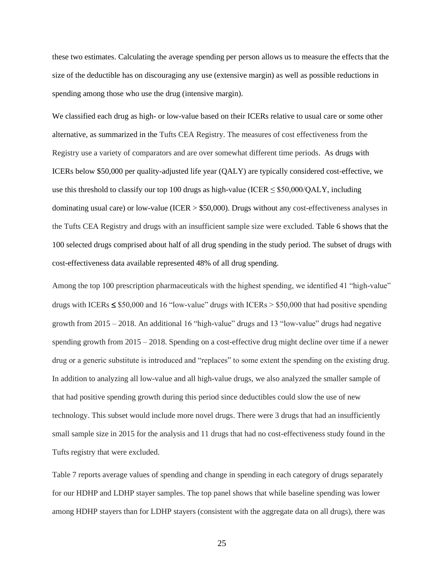these two estimates. Calculating the average spending per person allows us to measure the effects that the size of the deductible has on discouraging any use (extensive margin) as well as possible reductions in spending among those who use the drug (intensive margin).

We classified each drug as high- or low-value based on their ICERs relative to usual care or some other alternative, as summarized in the Tufts CEA Registry. The measures of cost effectiveness from the Registry use a variety of comparators and are over somewhat different time periods. As drugs with ICERs below \$50,000 per quality-adjusted life year (QALY) are typically considered cost-effective, we use this threshold to classify our top 100 drugs as high-value (ICER  $\leq$  \$50,000/QALY, including dominating usual care) or low-value (ICER > \$50,000). Drugs without any cost-effectiveness analyses in the Tufts CEA Registry and drugs with an insufficient sample size were excluded. Table 6 shows that the 100 selected drugs comprised about half of all drug spending in the study period. The subset of drugs with cost-effectiveness data available represented 48% of all drug spending.

Among the top 100 prescription pharmaceuticals with the highest spending, we identified 41 "high-value" drugs with ICERs  $\leq$  \$50,000 and 16 "low-value" drugs with ICERs > \$50,000 that had positive spending growth from 2015 – 2018. An additional 16 "high-value" drugs and 13 "low-value" drugs had negative spending growth from 2015 – 2018. Spending on a cost-effective drug might decline over time if a newer drug or a generic substitute is introduced and "replaces" to some extent the spending on the existing drug. In addition to analyzing all low-value and all high-value drugs, we also analyzed the smaller sample of that had positive spending growth during this period since deductibles could slow the use of new technology. This subset would include more novel drugs. There were 3 drugs that had an insufficiently small sample size in 2015 for the analysis and 11 drugs that had no cost-effectiveness study found in the Tufts registry that were excluded.

Table 7 reports average values of spending and change in spending in each category of drugs separately for our HDHP and LDHP stayer samples. The top panel shows that while baseline spending was lower among HDHP stayers than for LDHP stayers (consistent with the aggregate data on all drugs), there was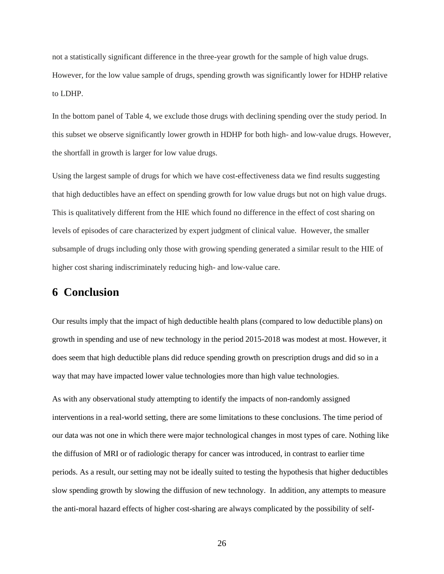not a statistically significant difference in the three-year growth for the sample of high value drugs. However, for the low value sample of drugs, spending growth was significantly lower for HDHP relative to LDHP.

In the bottom panel of Table 4, we exclude those drugs with declining spending over the study period. In this subset we observe significantly lower growth in HDHP for both high- and low-value drugs. However, the shortfall in growth is larger for low value drugs.

Using the largest sample of drugs for which we have cost-effectiveness data we find results suggesting that high deductibles have an effect on spending growth for low value drugs but not on high value drugs. This is qualitatively different from the HIE which found no difference in the effect of cost sharing on levels of episodes of care characterized by expert judgment of clinical value. However, the smaller subsample of drugs including only those with growing spending generated a similar result to the HIE of higher cost sharing indiscriminately reducing high- and low-value care.

# **6 Conclusion**

Our results imply that the impact of high deductible health plans (compared to low deductible plans) on growth in spending and use of new technology in the period 2015-2018 was modest at most. However, it does seem that high deductible plans did reduce spending growth on prescription drugs and did so in a way that may have impacted lower value technologies more than high value technologies.

As with any observational study attempting to identify the impacts of non-randomly assigned interventions in a real-world setting, there are some limitations to these conclusions. The time period of our data was not one in which there were major technological changes in most types of care. Nothing like the diffusion of MRI or of radiologic therapy for cancer was introduced, in contrast to earlier time periods. As a result, our setting may not be ideally suited to testing the hypothesis that higher deductibles slow spending growth by slowing the diffusion of new technology. In addition, any attempts to measure the anti-moral hazard effects of higher cost-sharing are always complicated by the possibility of self-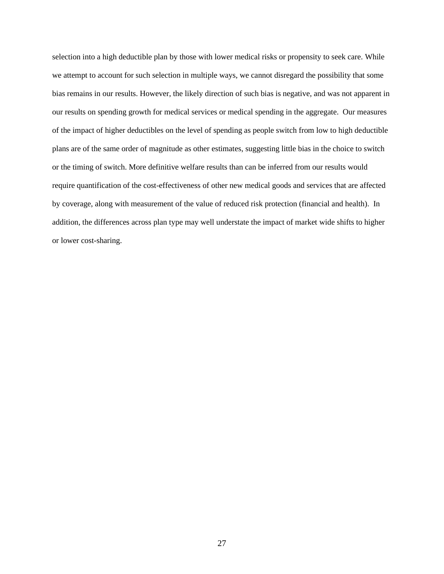selection into a high deductible plan by those with lower medical risks or propensity to seek care. While we attempt to account for such selection in multiple ways, we cannot disregard the possibility that some bias remains in our results. However, the likely direction of such bias is negative, and was not apparent in our results on spending growth for medical services or medical spending in the aggregate. Our measures of the impact of higher deductibles on the level of spending as people switch from low to high deductible plans are of the same order of magnitude as other estimates, suggesting little bias in the choice to switch or the timing of switch. More definitive welfare results than can be inferred from our results would require quantification of the cost-effectiveness of other new medical goods and services that are affected by coverage, along with measurement of the value of reduced risk protection (financial and health). In addition, the differences across plan type may well understate the impact of market wide shifts to higher or lower cost-sharing.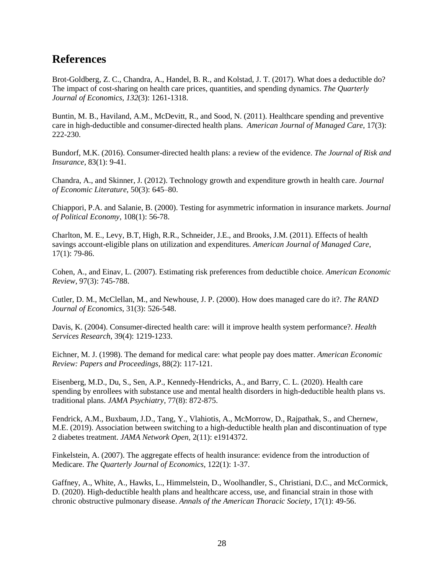# **References**

Brot-Goldberg, Z. C., Chandra, A., Handel, B. R., and Kolstad, J. T. (2017). What does a deductible do? The impact of cost-sharing on health care prices, quantities, and spending dynamics. *The Quarterly Journal of Economics*, *132*(3): 1261-1318.

Buntin, M. B., Haviland, A.M., McDevitt, R., and Sood, N. (2011). Healthcare spending and preventive care in high-deductible and consumer-directed health plans. *American Journal of Managed Care*, 17(3): 222-230.

Bundorf, M.K. (2016). Consumer-directed health plans: a review of the evidence. *The Journal of Risk and Insurance*, 83(1): 9-41.

Chandra, A., and Skinner, J. (2012). Technology growth and expenditure growth in health care. *Journal of Economic Literature,* 50(3): 645–80.

Chiappori, P.A. and Salanie, B. (2000). Testing for asymmetric information in insurance markets. *Journal of Political Economy*, 108(1): 56-78.

Charlton, M. E., Levy, B.T, High, R.R., Schneider, J.E., and Brooks, J.M. (2011). Effects of health savings account-eligible plans on utilization and expenditures. *American Journal of Managed Care*, 17(1): 79-86.

Cohen, A., and Einav, L. (2007). Estimating risk preferences from deductible choice. *American Economic Review*, 97(3): 745-788.

Cutler, D. M., McClellan, M., and Newhouse, J. P. (2000). How does managed care do it?. *The RAND Journal of Economics*, 31(3): 526-548.

Davis, K. (2004). Consumer-directed health care: will it improve health system performance?. *Health Services Research*, 39(4): 1219-1233.

Eichner, M. J. (1998). The demand for medical care: what people pay does matter. *American Economic Review: Papers and Proceedings*, 88(2): 117-121.

Eisenberg, M.D., Du, S., Sen, A.P., Kennedy-Hendricks, A., and Barry, C. L. (2020). Health care spending by enrollees with substance use and mental health disorders in high-deductible health plans vs. traditional plans. *JAMA Psychiatry*, 77(8): 872-875.

Fendrick, A.M., Buxbaum, J.D., Tang, Y., Vlahiotis, A., McMorrow, D., Rajpathak, S., and Chernew, M.E. (2019). Association between switching to a high-deductible health plan and discontinuation of type 2 diabetes treatment. *JAMA Network Open,* 2(11): e1914372.

Finkelstein, A. (2007). The aggregate effects of health insurance: evidence from the introduction of Medicare. *The Quarterly Journal of Economics*, 122(1): 1-37.

Gaffney, A., White, A., Hawks, L., Himmelstein, D., Woolhandler, S., Christiani, D.C., and McCormick, D. (2020). High-deductible health plans and healthcare access, use, and financial strain in those with chronic obstructive pulmonary disease. *Annals of the American Thoracic Society*, 17(1): 49-56.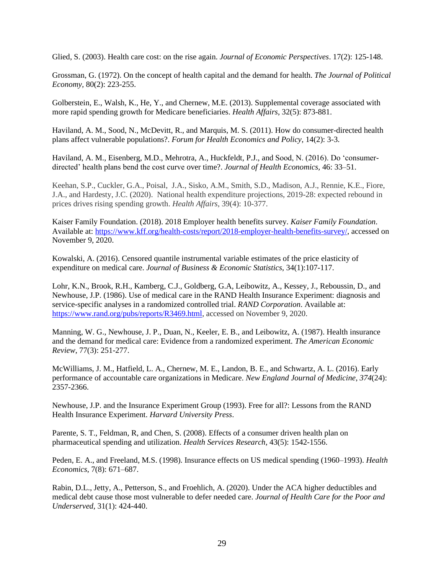Glied, S. (2003). Health care cost: on the rise again. *Journal of Economic Perspectives*. 17(2): 125-148.

Grossman, G. (1972). On the concept of health capital and the demand for health. *The Journal of Political Economy,* 80(2): 223-255.

Golberstein, E., Walsh, K., He, Y., and Chernew, M.E. (2013). Supplemental coverage associated with more rapid spending growth for Medicare beneficiaries. *Health Affairs*, 32(5): 873-881.

Haviland, A. M., Sood, N., McDevitt, R., and Marquis, M. S. (2011). How do consumer-directed health plans affect vulnerable populations?. *Forum for Health Economics and Policy*, 14(2): 3-3.

Haviland, A. M., Eisenberg, M.D., Mehrotra, A., Huckfeldt, P.J., and Sood, N. (2016). Do 'consumerdirected' health plans bend the cost curve over time?. *Journal of Health Economics,* 46: 33–51.

Keehan, S.P., Cuckler, G.A., Poisal, J.A., Sisko, A.M., Smith, S.D., Madison, A.J., Rennie, K.E., Fiore, J.A., and Hardesty, J.C. (2020). National health expenditure projections, 2019-28: expected rebound in prices drives rising spending growth. *Health Affairs*, 39(4): 10-377.

Kaiser Family Foundation. (2018). 2018 Employer health benefits survey. *Kaiser Family Foundation*. Available at: [https://www.kff.org/health-costs/report/2018-employer-health-benefits-survey/,](https://www.kff.org/health-costs/report/2018-employer-health-benefits-survey/) accessed on November 9, 2020.

Kowalski, A. (2016). Censored quantile instrumental variable estimates of the price elasticity of expenditure on medical care. *Journal of Business & Economic Statistics*, 34(1):107-117.

Lohr, K.N., Brook, R.H., Kamberg, C.J., Goldberg, G.A, Leibowitz, A., Kessey, J., Reboussin, D., and Newhouse, J.P. (1986). Use of medical care in the RAND Health Insurance Experiment: diagnosis and service-specific analyses in a randomized controlled trial. *RAND Corporation*. Available at: [https://www.rand.org/pubs/reports/R3469.html,](https://www.rand.org/pubs/reports/R3469.html) accessed on November 9, 2020.

Manning, W. G., Newhouse, J. P., Duan, N., Keeler, E. B., and Leibowitz, A. (1987). Health insurance and the demand for medical care: Evidence from a randomized experiment. *The American Economic Review*, 77(3): 251-277.

McWilliams, J. M., Hatfield, L. A., Chernew, M. E., Landon, B. E., and Schwartz, A. L. (2016). Early performance of accountable care organizations in Medicare. *New England Journal of Medicine*, *374*(24): 2357-2366.

Newhouse, J.P. and the Insurance Experiment Group (1993). Free for all?: Lessons from the RAND Health Insurance Experiment. *Harvard University Press*.

Parente, S. T., Feldman, R, and Chen, S. (2008). Effects of a consumer driven health plan on pharmaceutical spending and utilization. *Health Services Research*, 43(5): 1542-1556.

Peden, E. A., and Freeland, M.S. (1998). Insurance effects on US medical spending (1960–1993). *Health Economics*, 7(8): 671–687.

Rabin, D.L., Jetty, A., Petterson, S., and Froehlich, A. (2020). Under the ACA higher deductibles and medical debt cause those most vulnerable to defer needed care. *Journal of Health Care for the Poor and Underserved*, 31(1): 424-440.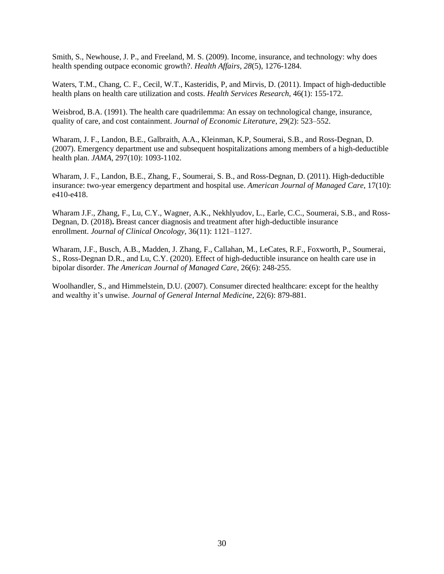Smith, S., Newhouse, J. P., and Freeland, M. S. (2009). Income, insurance, and technology: why does health spending outpace economic growth?. *Health Affairs*, *28*(5), 1276-1284.

Waters, T.M., Chang, C. F., Cecil, W.T., Kasteridis, P, and Mirvis, D. (2011). Impact of high-deductible health plans on health care utilization and costs. *Health Services Research*, 46(1): 155-172.

Weisbrod, B.A. (1991). The health care quadrilemma: An essay on technological change, insurance, quality of care, and cost containment. *Journal of Economic Literature,* 29(2): 523–552.

Wharam, J. F., Landon, B.E., Galbraith, A.A., Kleinman, K.P, Soumerai, S.B., and Ross-Degnan, D. (2007). Emergency department use and subsequent hospitalizations among members of a high-deductible health plan. *JAMA*, 297(10): 1093-1102.

Wharam, J. F., Landon, B.E., Zhang, F., Soumerai, S. B., and Ross-Degnan, D. (2011). High-deductible insurance: two-year emergency department and hospital use. *American Journal of Managed Care*, 17(10): e410-e418.

Wharam J.F., Zhang, F., Lu, C.Y., Wagner, A.K., Nekhlyudov, L., Earle, C.C., Soumerai, S.B., and Ross-Degnan, D. (2018)**.** Breast cancer diagnosis and treatment after high-deductible insurance enrollment. *Journal of Clinical Oncology,* 36(11): 1121–1127.

Wharam, J.F., Busch, A.B., Madden, J. Zhang, F., Callahan, M., LeCates, R.F., Foxworth, P., Soumerai, S., Ross-Degnan D.R., and Lu, C.Y. (2020). Effect of high-deductible insurance on health care use in bipolar disorder. *The American Journal of Managed Care*, 26(6): 248-255.

Woolhandler, S., and Himmelstein, D.U. (2007). Consumer directed healthcare: except for the healthy and wealthy it's unwise. *Journal of General Internal Medicine*, 22(6): 879-881.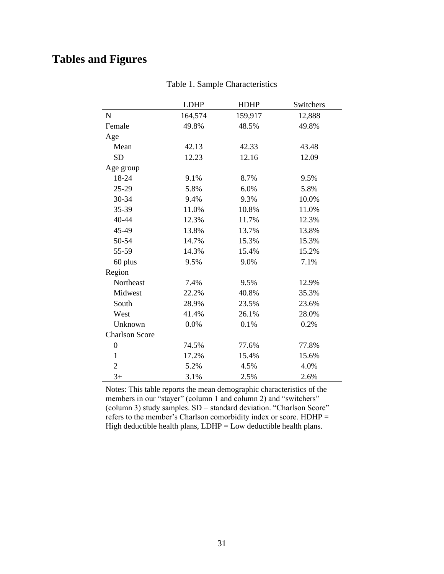# **Tables and Figures**

|                       | <b>LDHP</b> | <b>HDHP</b> | Switchers |
|-----------------------|-------------|-------------|-----------|
| $\mathbf N$           | 164,574     | 159,917     | 12,888    |
| Female                | 49.8%       | 48.5%       | 49.8%     |
| Age                   |             |             |           |
| Mean                  | 42.13       | 42.33       | 43.48     |
| <b>SD</b>             | 12.23       | 12.16       | 12.09     |
| Age group             |             |             |           |
| 18-24                 | 9.1%        | 8.7%        | 9.5%      |
| 25-29                 | 5.8%        | 6.0%        | 5.8%      |
| 30-34                 | 9.4%        | 9.3%        | 10.0%     |
| 35-39                 | 11.0%       | 10.8%       | 11.0%     |
| 40-44                 | 12.3%       | 11.7%       | 12.3%     |
| 45-49                 | 13.8%       | 13.7%       | 13.8%     |
| 50-54                 | 14.7%       | 15.3%       | 15.3%     |
| 55-59                 | 14.3%       | 15.4%       | 15.2%     |
| 60 plus               | 9.5%        | 9.0%        | 7.1%      |
| Region                |             |             |           |
| Northeast             | 7.4%        | 9.5%        | 12.9%     |
| Midwest               | 22.2%       | 40.8%       | 35.3%     |
| South                 | 28.9%       | 23.5%       | 23.6%     |
| West                  | 41.4%       | 26.1%       | 28.0%     |
| Unknown               | 0.0%        | 0.1%        | 0.2%      |
| <b>Charlson Score</b> |             |             |           |
| $\boldsymbol{0}$      | 74.5%       | 77.6%       | 77.8%     |
| $\mathbf{1}$          | 17.2%       | 15.4%       | 15.6%     |
| $\mathbf{2}$          | 5.2%        | 4.5%        | 4.0%      |
| $3+$                  | 3.1%        | 2.5%        | 2.6%      |

Table 1. Sample Characteristics

Notes: This table reports the mean demographic characteristics of the members in our "stayer" (column 1 and column 2) and "switchers" (column 3) study samples. SD = standard deviation. "Charlson Score" refers to the member's Charlson comorbidity index or score. HDHP = High deductible health plans,  $LDHP = Low$  deductible health plans.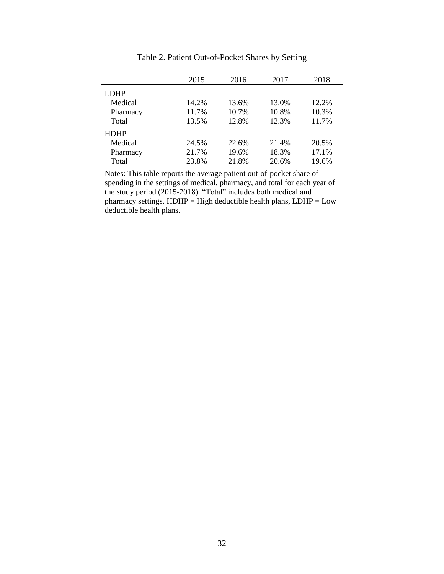|             | 2015  | 2016  | 2017  | 2018  |
|-------------|-------|-------|-------|-------|
| <b>LDHP</b> |       |       |       |       |
| Medical     | 14.2% | 13.6% | 13.0% | 12.2% |
| Pharmacy    | 11.7% | 10.7% | 10.8% | 10.3% |
| Total       | 13.5% | 12.8% | 12.3% | 11.7% |
| <b>HDHP</b> |       |       |       |       |
| Medical     | 24.5% | 22.6% | 21.4% | 20.5% |
| Pharmacy    | 21.7% | 19.6% | 18.3% | 17.1% |
| Total       | 23.8% | 21.8% | 20.6% | 19.6% |

Table 2. Patient Out-of-Pocket Shares by Setting

Notes: This table reports the average patient out-of-pocket share of spending in the settings of medical, pharmacy, and total for each year of the study period (2015-2018). "Total" includes both medical and pharmacy settings.  $HDHP = High$  deductible health plans,  $LDHP = Low$ deductible health plans.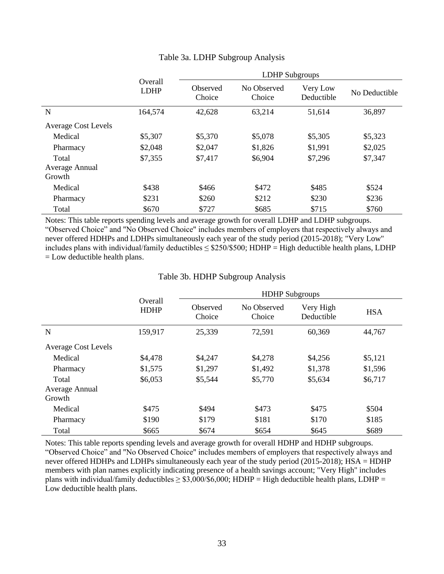|                            |                               | <b>LDHP</b> Subgroups |                       |                        |               |  |  |  |
|----------------------------|-------------------------------|-----------------------|-----------------------|------------------------|---------------|--|--|--|
|                            | <b>Overall</b><br><b>LDHP</b> | Observed<br>Choice    | No Observed<br>Choice | Very Low<br>Deductible | No Deductible |  |  |  |
| N                          | 164,574                       | 42,628                | 63,214                | 51,614                 | 36,897        |  |  |  |
| <b>Average Cost Levels</b> |                               |                       |                       |                        |               |  |  |  |
| Medical                    | \$5,307                       | \$5,370               | \$5,078               | \$5,305                | \$5,323       |  |  |  |
| Pharmacy                   | \$2,048                       | \$2,047               | \$1,826               | \$1,991                | \$2,025       |  |  |  |
| Total                      | \$7,355                       | \$7,417               | \$6,904               | \$7,296                | \$7,347       |  |  |  |
| Average Annual             |                               |                       |                       |                        |               |  |  |  |
| Growth                     |                               |                       |                       |                        |               |  |  |  |
| Medical                    | \$438                         | \$466                 | \$472                 | \$485                  | \$524         |  |  |  |
| Pharmacy                   | \$231                         | \$260                 | \$212                 | \$230                  | \$236         |  |  |  |
| Total                      | \$670                         | \$727                 | \$685                 | \$715                  | \$760         |  |  |  |

## Table 3a. LDHP Subgroup Analysis

Notes: This table reports spending levels and average growth for overall LDHP and LDHP subgroups. "Observed Choice" and "No Observed Choice" includes members of employers that respectively always and never offered HDHPs and LDHPs simultaneously each year of the study period (2015-2018); "Very Low" includes plans with individual/family deductibles  $\leq$  \$250/\$500; HDHP = High deductible health plans, LDHP = Low deductible health plans.

### Table 3b. HDHP Subgroup Analysis

|                                   |                               | <b>HDHP</b> Subgroups |                       |                         |            |  |  |  |  |
|-----------------------------------|-------------------------------|-----------------------|-----------------------|-------------------------|------------|--|--|--|--|
|                                   | <b>Overall</b><br><b>HDHP</b> | Observed<br>Choice    | No Observed<br>Choice | Very High<br>Deductible | <b>HSA</b> |  |  |  |  |
| N                                 | 159,917                       | 25,339                | 72,591                | 60,369                  | 44,767     |  |  |  |  |
| <b>Average Cost Levels</b>        |                               |                       |                       |                         |            |  |  |  |  |
| Medical                           | \$4,478                       | \$4,247               | \$4,278               | \$4,256                 | \$5,121    |  |  |  |  |
| Pharmacy                          | \$1,575                       | \$1,297               | \$1,492               | \$1,378                 | \$1,596    |  |  |  |  |
| Total<br>Average Annual<br>Growth | \$6,053                       | \$5,544               | \$5,770               | \$5,634                 | \$6,717    |  |  |  |  |
| Medical                           | \$475                         | \$494                 | \$473                 | \$475                   | \$504      |  |  |  |  |
| Pharmacy                          | \$190                         | \$179                 | \$181                 | \$170                   | \$185      |  |  |  |  |
| Total                             | \$665                         | \$674                 | \$654                 | \$645                   | \$689      |  |  |  |  |

Notes: This table reports spending levels and average growth for overall HDHP and HDHP subgroups. "Observed Choice" and "No Observed Choice" includes members of employers that respectively always and never offered HDHPs and LDHPs simultaneously each year of the study period (2015-2018); HSA = HDHP members with plan names explicitly indicating presence of a health savings account; "Very High" includes plans with individual/family deductibles  $\geq$  \$3,000/\$6,000; HDHP = High deductible health plans, LDHP = Low deductible health plans.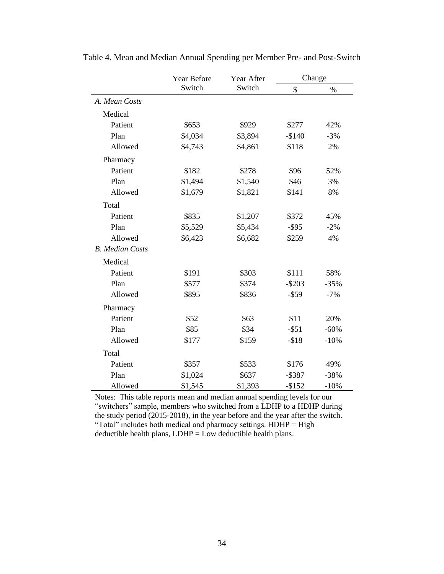|                        | Year Before | Year After | Change    |        |  |
|------------------------|-------------|------------|-----------|--------|--|
|                        | Switch      | Switch     | \$        | $\%$   |  |
| A. Mean Costs          |             |            |           |        |  |
| Medical                |             |            |           |        |  |
| Patient                | \$653       | \$929      | \$277     | 42%    |  |
| Plan                   | \$4,034     | \$3,894    | $-$140$   | $-3%$  |  |
| Allowed                | \$4,743     | \$4,861    | \$118     | 2%     |  |
| Pharmacy               |             |            |           |        |  |
| Patient                | \$182       | \$278      | \$96      | 52%    |  |
| Plan                   | \$1,494     | \$1,540    | \$46      | 3%     |  |
| Allowed                | \$1,679     | \$1,821    | \$141     | 8%     |  |
| Total                  |             |            |           |        |  |
| Patient                | \$835       | \$1,207    | \$372     | 45%    |  |
| Plan                   | \$5,529     | \$5,434    | $-$ \$95  | $-2%$  |  |
| Allowed                | \$6,423     | \$6,682    | \$259     | 4%     |  |
| <b>B.</b> Median Costs |             |            |           |        |  |
| Medical                |             |            |           |        |  |
| Patient                | \$191       | \$303      | \$111     | 58%    |  |
| Plan                   | \$577       | \$374      | $-$203$   | $-35%$ |  |
| Allowed                | \$895       | \$836      | $-$ \$59  | $-7%$  |  |
| Pharmacy               |             |            |           |        |  |
| Patient                | \$52        | \$63       | \$11      | 20%    |  |
| Plan                   | \$85        | \$34       | $-$ \$51  | $-60%$ |  |
| Allowed                | \$177       | \$159      | $- $18$   | $-10%$ |  |
| Total                  |             |            |           |        |  |
| Patient                | \$357       | \$533      | \$176     | 49%    |  |
| Plan                   | \$1,024     | \$637      | $-$ \$387 | $-38%$ |  |
| Allowed                | \$1,545     | \$1,393    | $-$152$   | $-10%$ |  |

Table 4. Mean and Median Annual Spending per Member Pre- and Post-Switch

Notes: This table reports mean and median annual spending levels for our "switchers" sample, members who switched from a LDHP to a HDHP during the study period (2015-2018), in the year before and the year after the switch. "Total" includes both medical and pharmacy settings. HDHP = High deductible health plans,  $LDHP = Low$  deductible health plans.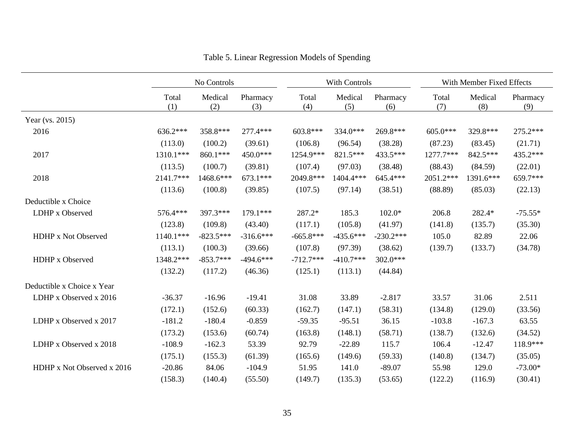|                            | No Controls  |                | With Controls   |              |                | With Member Fixed Effects |              |                |                 |
|----------------------------|--------------|----------------|-----------------|--------------|----------------|---------------------------|--------------|----------------|-----------------|
|                            | Total<br>(1) | Medical<br>(2) | Pharmacy<br>(3) | Total<br>(4) | Medical<br>(5) | Pharmacy<br>(6)           | Total<br>(7) | Medical<br>(8) | Pharmacy<br>(9) |
| Year (vs. 2015)            |              |                |                 |              |                |                           |              |                |                 |
| 2016                       | 636.2***     | 358.8***       | 277.4***        | 603.8***     | 334.0***       | 269.8***                  | 605.0***     | 329.8***       | 275.2***        |
|                            | (113.0)      | (100.2)        | (39.61)         | (106.8)      | (96.54)        | (38.28)                   | (87.23)      | (83.45)        | (21.71)         |
| 2017                       | 1310.1***    | 860.1***       | $450.0***$      | 1254.9***    | 821.5***       | 433.5***                  | 1277.7***    | 842.5***       | 435.2***        |
|                            | (113.5)      | (100.7)        | (39.81)         | (107.4)      | (97.03)        | (38.48)                   | (88.43)      | (84.59)        | (22.01)         |
| 2018                       | 2141.7***    | 1468.6***      | $673.1***$      | 2049.8***    | 1404.4***      | 645.4***                  | 2051.2***    | 1391.6***      | 659.7***        |
|                            | (113.6)      | (100.8)        | (39.85)         | (107.5)      | (97.14)        | (38.51)                   | (88.89)      | (85.03)        | (22.13)         |
| Deductible x Choice        |              |                |                 |              |                |                           |              |                |                 |
| LDHP x Observed            | 576.4***     | 397.3***       | 179.1***        | 287.2*       | 185.3          | $102.0*$                  | 206.8        | 282.4*         | $-75.55*$       |
|                            | (123.8)      | (109.8)        | (43.40)         | (117.1)      | (105.8)        | (41.97)                   | (141.8)      | (135.7)        | (35.30)         |
| HDHP x Not Observed        | 1140.1***    | $-823.5***$    | $-316.6***$     | $-665.8***$  | $-435.6***$    | $-230.2***$               | 105.0        | 82.89          | 22.06           |
|                            | (113.1)      | (100.3)        | (39.66)         | (107.8)      | (97.39)        | (38.62)                   | (139.7)      | (133.7)        | (34.78)         |
| HDHP x Observed            | 1348.2***    | $-853.7***$    | $-494.6***$     | $-712.7***$  | $-410.7***$    | 302.0***                  |              |                |                 |
|                            | (132.2)      | (117.2)        | (46.36)         | (125.1)      | (113.1)        | (44.84)                   |              |                |                 |
| Deductible x Choice x Year |              |                |                 |              |                |                           |              |                |                 |
| LDHP x Observed x 2016     | $-36.37$     | $-16.96$       | $-19.41$        | 31.08        | 33.89          | $-2.817$                  | 33.57        | 31.06          | 2.511           |
|                            | (172.1)      | (152.6)        | (60.33)         | (162.7)      | (147.1)        | (58.31)                   | (134.8)      | (129.0)        | (33.56)         |
| LDHP x Observed x 2017     | $-181.2$     | $-180.4$       | $-0.859$        | $-59.35$     | $-95.51$       | 36.15                     | $-103.8$     | $-167.3$       | 63.55           |
|                            | (173.2)      | (153.6)        | (60.74)         | (163.8)      | (148.1)        | (58.71)                   | (138.7)      | (132.6)        | (34.52)         |
| LDHP x Observed x 2018     | $-108.9$     | $-162.3$       | 53.39           | 92.79        | $-22.89$       | 115.7                     | 106.4        | $-12.47$       | 118.9***        |
|                            | (175.1)      | (155.3)        | (61.39)         | (165.6)      | (149.6)        | (59.33)                   | (140.8)      | (134.7)        | (35.05)         |
| HDHP x Not Observed x 2016 | $-20.86$     | 84.06          | $-104.9$        | 51.95        | 141.0          | $-89.07$                  | 55.98        | 129.0          | $-73.00*$       |
|                            | (158.3)      | (140.4)        | (55.50)         | (149.7)      | (135.3)        | (53.65)                   | (122.2)      | (116.9)        | (30.41)         |

Table 5. Linear Regression Models of Spending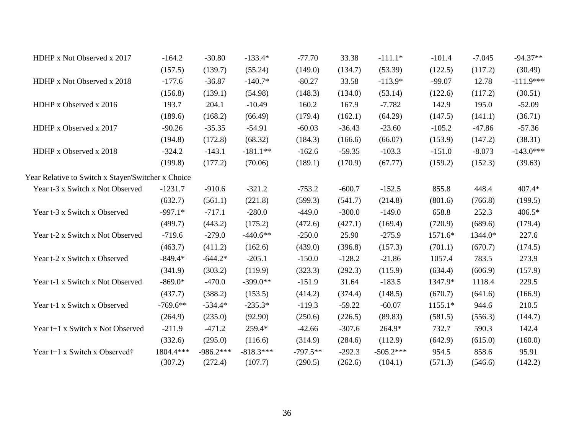| HDHP x Not Observed x 2017                         | $-164.2$   | $-30.80$    | $-133.4*$   | $-77.70$   | 33.38    | $-111.1*$   | $-101.4$ | $-7.045$ | $-94.37**$  |
|----------------------------------------------------|------------|-------------|-------------|------------|----------|-------------|----------|----------|-------------|
|                                                    | (157.5)    | (139.7)     | (55.24)     | (149.0)    | (134.7)  | (53.39)     | (122.5)  | (117.2)  | (30.49)     |
| HDHP x Not Observed x 2018                         | $-177.6$   | $-36.87$    | $-140.7*$   | $-80.27$   | 33.58    | $-113.9*$   | $-99.07$ | 12.78    | $-111.9***$ |
|                                                    | (156.8)    | (139.1)     | (54.98)     | (148.3)    | (134.0)  | (53.14)     | (122.6)  | (117.2)  | (30.51)     |
| HDHP x Observed x 2016                             | 193.7      | 204.1       | $-10.49$    | 160.2      | 167.9    | $-7.782$    | 142.9    | 195.0    | $-52.09$    |
|                                                    | (189.6)    | (168.2)     | (66.49)     | (179.4)    | (162.1)  | (64.29)     | (147.5)  | (141.1)  | (36.71)     |
| HDHP x Observed x 2017                             | $-90.26$   | $-35.35$    | $-54.91$    | $-60.03$   | $-36.43$ | $-23.60$    | $-105.2$ | $-47.86$ | $-57.36$    |
|                                                    | (194.8)    | (172.8)     | (68.32)     | (184.3)    | (166.6)  | (66.07)     | (153.9)  | (147.2)  | (38.31)     |
| HDHP x Observed x 2018                             | $-324.2$   | $-143.1$    | $-181.1**$  | $-162.6$   | $-59.35$ | $-103.3$    | $-151.0$ | $-8.073$ | $-143.0***$ |
|                                                    | (199.8)    | (177.2)     | (70.06)     | (189.1)    | (170.9)  | (67.77)     | (159.2)  | (152.3)  | (39.63)     |
| Year Relative to Switch x Stayer/Switcher x Choice |            |             |             |            |          |             |          |          |             |
| Year t-3 x Switch x Not Observed                   | $-1231.7$  | $-910.6$    | $-321.2$    | $-753.2$   | $-600.7$ | $-152.5$    | 855.8    | 448.4    | 407.4*      |
|                                                    | (632.7)    | (561.1)     | (221.8)     | (599.3)    | (541.7)  | (214.8)     | (801.6)  | (766.8)  | (199.5)     |
| Year t-3 x Switch x Observed                       | $-997.1*$  | $-717.1$    | $-280.0$    | $-449.0$   | $-300.0$ | $-149.0$    | 658.8    | 252.3    | 406.5*      |
|                                                    | (499.7)    | (443.2)     | (175.2)     | (472.6)    | (427.1)  | (169.4)     | (720.9)  | (689.6)  | (179.4)     |
| Year t-2 x Switch x Not Observed                   | $-719.6$   | $-279.0$    | $-440.6**$  | $-250.0$   | 25.90    | $-275.9$    | 1571.6*  | 1344.0*  | 227.6       |
|                                                    | (463.7)    | (411.2)     | (162.6)     | (439.0)    | (396.8)  | (157.3)     | (701.1)  | (670.7)  | (174.5)     |
| Year t-2 x Switch x Observed                       | $-849.4*$  | $-644.2*$   | $-205.1$    | $-150.0$   | $-128.2$ | $-21.86$    | 1057.4   | 783.5    | 273.9       |
|                                                    | (341.9)    | (303.2)     | (119.9)     | (323.3)    | (292.3)  | (115.9)     | (634.4)  | (606.9)  | (157.9)     |
| Year t-1 x Switch x Not Observed                   | $-869.0*$  | $-470.0$    | $-399.0**$  | $-151.9$   | 31.64    | $-183.5$    | 1347.9*  | 1118.4   | 229.5       |
|                                                    | (437.7)    | (388.2)     | (153.5)     | (414.2)    | (374.4)  | (148.5)     | (670.7)  | (641.6)  | (166.9)     |
| Year t-1 x Switch x Observed                       | $-769.6**$ | $-534.4*$   | $-235.3*$   | $-119.3$   | $-59.22$ | $-60.07$    | 1155.1*  | 944.6    | 210.5       |
|                                                    | (264.9)    | (235.0)     | (92.90)     | (250.6)    | (226.5)  | (89.83)     | (581.5)  | (556.3)  | (144.7)     |
| Year t+1 x Switch x Not Observed                   | $-211.9$   | $-471.2$    | 259.4*      | $-42.66$   | $-307.6$ | 264.9*      | 732.7    | 590.3    | 142.4       |
|                                                    | (332.6)    | (295.0)     | (116.6)     | (314.9)    | (284.6)  | (112.9)     | (642.9)  | (615.0)  | (160.0)     |
| Year t+1 x Switch x Observed†                      | 1804.4***  | $-986.2***$ | $-818.3***$ | $-797.5**$ | $-292.3$ | $-505.2***$ | 954.5    | 858.6    | 95.91       |
|                                                    | (307.2)    | (272.4)     | (107.7)     | (290.5)    | (262.6)  | (104.1)     | (571.3)  | (546.6)  | (142.2)     |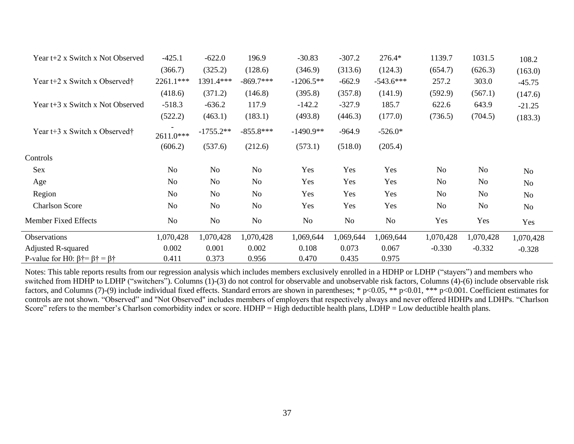| Year $t+2$ x Switch x Not Observed                              | $-425.1$       | $-622.0$       | 196.9          | $-30.83$    | $-307.2$  | 276.4*      | 1139.7         | 1031.5    | 108.2          |
|-----------------------------------------------------------------|----------------|----------------|----------------|-------------|-----------|-------------|----------------|-----------|----------------|
|                                                                 | (366.7)        | (325.2)        | (128.6)        | (346.9)     | (313.6)   | (124.3)     | (654.7)        | (626.3)   | (163.0)        |
| Year $t+2$ x Switch x Observed†                                 | 2261.1***      | 1391.4***      | $-869.7***$    | $-1206.5**$ | $-662.9$  | $-543.6***$ | 257.2          | 303.0     | $-45.75$       |
|                                                                 | (418.6)        | (371.2)        | (146.8)        | (395.8)     | (357.8)   | (141.9)     | (592.9)        | (567.1)   | (147.6)        |
| Year t+3 x Switch x Not Observed                                | $-518.3$       | $-636.2$       | 117.9          | $-142.2$    | $-327.9$  | 185.7       | 622.6          | 643.9     | $-21.25$       |
|                                                                 | (522.2)        | (463.1)        | (183.1)        | (493.8)     | (446.3)   | (177.0)     | (736.5)        | (704.5)   | (183.3)        |
| Year $t+3$ x Switch x Observed†                                 | 2611.0***      | $-1755.2**$    | $-855.8***$    | $-1490.9**$ | $-964.9$  | $-526.0*$   |                |           |                |
|                                                                 | (606.2)        | (537.6)        | (212.6)        | (573.1)     | (518.0)   | (205.4)     |                |           |                |
| Controls                                                        |                |                |                |             |           |             |                |           |                |
| Sex                                                             | N <sub>o</sub> | N <sub>o</sub> | No             | Yes         | Yes       | Yes         | N <sub>0</sub> | No        | No             |
| Age                                                             | N <sub>0</sub> | No             | No             | Yes         | Yes       | Yes         | No             | No        | N <sub>o</sub> |
| Region                                                          | N <sub>o</sub> | N <sub>o</sub> | N <sub>o</sub> | Yes         | Yes       | Yes         | No             | No        | No             |
| <b>Charlson Score</b>                                           | N <sub>o</sub> | N <sub>o</sub> | N <sub>o</sub> | Yes         | Yes       | Yes         | No             | No        | No             |
| <b>Member Fixed Effects</b>                                     | N <sub>o</sub> | N <sub>o</sub> | No             | No          | No        | No.         | Yes            | Yes       | Yes            |
| Observations                                                    | 1,070,428      | 1,070,428      | 1,070,428      | 1,069,644   | 1,069,644 | 1,069,644   | 1,070,428      | 1,070,428 | 1,070,428      |
| <b>Adjusted R-squared</b>                                       | 0.002          | 0.001          | 0.002          | 0.108       | 0.073     | 0.067       | $-0.330$       | $-0.332$  | $-0.328$       |
| P-value for H0: $\beta \dagger = \beta \dagger = \beta \dagger$ | 0.411          | 0.373          | 0.956          | 0.470       | 0.435     | 0.975       |                |           |                |

Notes: This table reports results from our regression analysis which includes members exclusively enrolled in a HDHP or LDHP ("stayers") and members who switched from HDHP to LDHP ("switchers"). Columns (1)-(3) do not control for observable and unobservable risk factors, Columns (4)-(6) include observable risk factors, and Columns (7)-(9) include individual fixed effects. Standard errors are shown in parentheses; \* p<0.05, \*\* p<0.01, \*\*\* p<0.001. Coefficient estimates for controls are not shown. "Observed" and "Not Observed" includes members of employers that respectively always and never offered HDHPs and LDHPs. "Charlson Score" refers to the member's Charlson comorbidity index or score.  $HDHP = High \cdot deductible \cdot health \cdot plans$ ,  $LDHP = Low \cdot deductible \cdot health \cdot plans$ .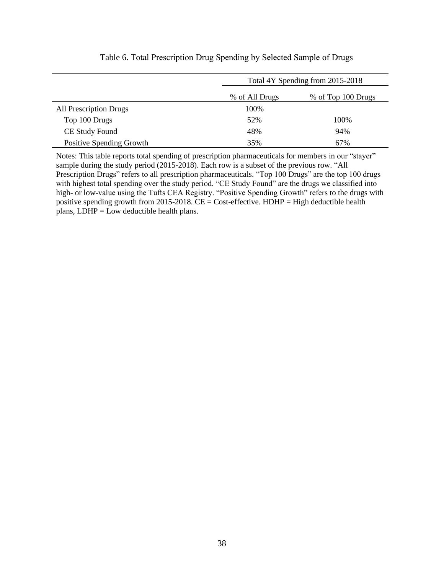|                               | Total 4Y Spending from 2015-2018 |                    |  |  |  |
|-------------------------------|----------------------------------|--------------------|--|--|--|
|                               | % of All Drugs                   | % of Top 100 Drugs |  |  |  |
| <b>All Prescription Drugs</b> | 100%                             |                    |  |  |  |
| Top 100 Drugs                 | 52%                              | 100%               |  |  |  |
| CE Study Found                | 48%                              | 94%                |  |  |  |
| Positive Spending Growth      | 35%                              | 67%                |  |  |  |
|                               |                                  |                    |  |  |  |

### Table 6. Total Prescription Drug Spending by Selected Sample of Drugs

Notes: This table reports total spending of prescription pharmaceuticals for members in our "stayer" sample during the study period (2015-2018). Each row is a subset of the previous row. "All Prescription Drugs" refers to all prescription pharmaceuticals. "Top 100 Drugs" are the top 100 drugs with highest total spending over the study period. "CE Study Found" are the drugs we classified into high- or low-value using the Tufts CEA Registry. "Positive Spending Growth" refers to the drugs with positive spending growth from 2015-2018.  $CE = Cost\text{-effective}$ . HDHP = High deductible health plans,  $LDHP = Low$  deductible health plans.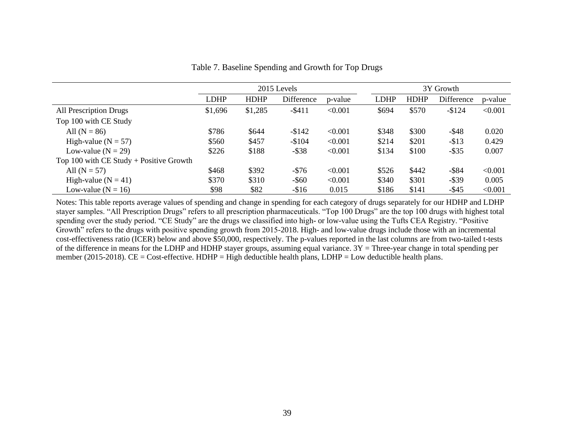|                                           | 2015 Levels |             |            |         | 3Y Growth   |             |            |         |
|-------------------------------------------|-------------|-------------|------------|---------|-------------|-------------|------------|---------|
|                                           | <b>LDHP</b> | <b>HDHP</b> | Difference | p-value | <b>LDHP</b> | <b>HDHP</b> | Difference | p-value |
| All Prescription Drugs                    | \$1,696     | \$1,285     | $-$ \$411  | < 0.001 | \$694       | \$570       | $-$124$    | < 0.001 |
| Top 100 with CE Study                     |             |             |            |         |             |             |            |         |
| All $(N = 86)$                            | \$786       | \$644       | $-$142$    | < 0.001 | \$348       | \$300       | $-$ \$48   | 0.020   |
| High-value ( $N = 57$ )                   | \$560       | \$457       | $-$104$    | < 0.001 | \$214       | \$201       | $- $13$    | 0.429   |
| Low-value ( $N = 29$ )                    | \$226       | \$188       | $-$ \$38   | < 0.001 | \$134       | \$100       | $-$ \$35   | 0.007   |
| Top 100 with $CE$ Study + Positive Growth |             |             |            |         |             |             |            |         |
| All $(N = 57)$                            | \$468       | \$392       | $-\$76$    | < 0.001 | \$526       | \$442       | $-$ \$84   | < 0.001 |
| High-value $(N = 41)$                     | \$370       | \$310       | $-$ \$60   | < 0.001 | \$340       | \$301       | $-$ \$39   | 0.005   |
| Low-value ( $N = 16$ )                    | \$98        | \$82        | $-$16$     | 0.015   | \$186       | \$141       | $-$ \$45   | < 0.001 |

Table 7. Baseline Spending and Growth for Top Drugs

Notes: This table reports average values of spending and change in spending for each category of drugs separately for our HDHP and LDHP stayer samples. "All Prescription Drugs" refers to all prescription pharmaceuticals. "Top 100 Drugs" are the top 100 drugs with highest total spending over the study period. "CE Study" are the drugs we classified into high- or low-value using the Tufts CEA Registry. "Positive Growth" refers to the drugs with positive spending growth from 2015-2018. High- and low-value drugs include those with an incremental cost-effectiveness ratio (ICER) below and above \$50,000, respectively. The p-values reported in the last columns are from two-tailed t-tests of the difference in means for the LDHP and HDHP stayer groups, assuming equal variance.  $3Y =$ Three-year change in total spending per member (2015-2018). CE = Cost-effective. HDHP = High deductible health plans, LDHP = Low deductible health plans.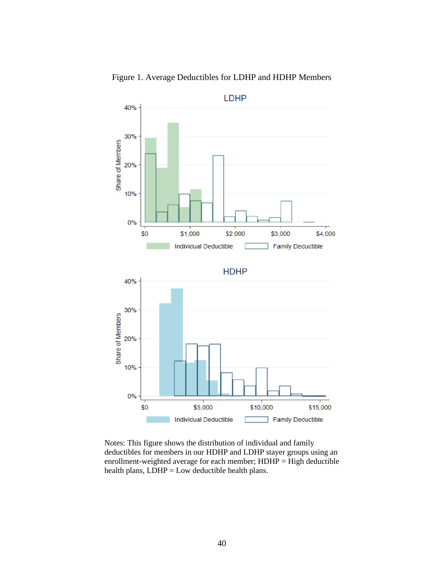



Notes: This figure shows the distribution of individual and family deductibles for members in our HDHP and LDHP stayer groups using an enrollment-weighted average for each member;  $HDHP = High$  deductible health plans,  $LDHP = Low$  deductible health plans.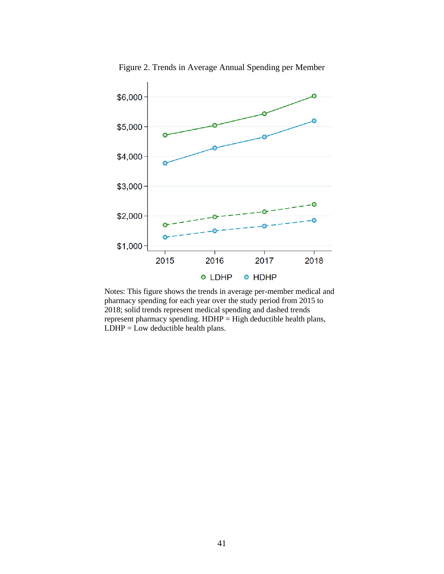

Figure 2. Trends in Average Annual Spending per Member

Notes: This figure shows the trends in average per-member medical and pharmacy spending for each year over the study period from 2015 to 2018; solid trends represent medical spending and dashed trends represent pharmacy spending. HDHP = High deductible health plans,  $LDHP = Low$  deductible health plans.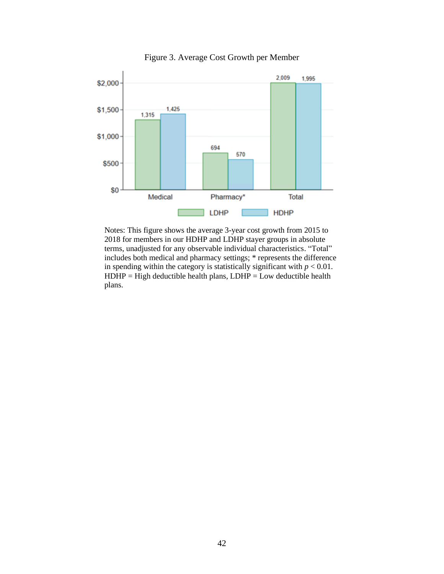

Figure 3. Average Cost Growth per Member

Notes: This figure shows the average 3-year cost growth from 2015 to 2018 for members in our HDHP and LDHP stayer groups in absolute terms, unadjusted for any observable individual characteristics. "Total" includes both medical and pharmacy settings; \* represents the difference in spending within the category is statistically significant with  $p < 0.01$ .  $HDHP = High \cdot deductible \cdot health \cdot plans$ ,  $LDHP = Low \cdot deductible \cdot health$ plans.